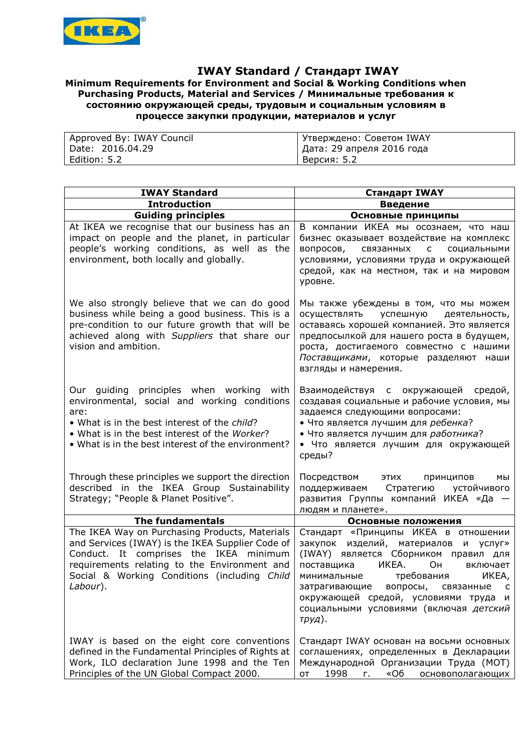

## **IWAY Standard / Стандарт IWAY**

## **Minimum Requirements for Environment and Social & Working Conditions when Purchasing Products, Material and Services / Минимальные требования к состоянию окружающей среды, трудовым и социальным условиям в процессе закупки продукции, материалов и услуг**

| Approved By: IWAY Council | I Утверждено: Советом IWAY  |
|---------------------------|-----------------------------|
| Date: 2016.04.29 D        | I Дата: 29 апреля 2016 года |
| Edition: 5.2              | Версия: 5.2                 |

| <b>IWAY Standard</b>                                                                                                                                                                                                                                     | Стандарт IWAY                                                                                                                                                                                                                                                                                                                           |
|----------------------------------------------------------------------------------------------------------------------------------------------------------------------------------------------------------------------------------------------------------|-----------------------------------------------------------------------------------------------------------------------------------------------------------------------------------------------------------------------------------------------------------------------------------------------------------------------------------------|
| <b>Introduction</b>                                                                                                                                                                                                                                      | Введение                                                                                                                                                                                                                                                                                                                                |
| <b>Guiding principles</b>                                                                                                                                                                                                                                | Основные принципы                                                                                                                                                                                                                                                                                                                       |
| At IKEA we recognise that our business has an<br>impact on people and the planet, in particular<br>people's working conditions, as well as the<br>environment, both locally and globally.                                                                | В компании ИКЕА мы осознаем, что наш<br>бизнес оказывает воздействие на комплекс<br>вопросов, связанных с социальными<br>условиями, условиями труда и окружающей<br>средой, как на местном, так и на мировом<br>уровне.                                                                                                                 |
| We also strongly believe that we can do good<br>business while being a good business. This is a<br>pre-condition to our future growth that will be<br>achieved along with Suppliers that share our<br>vision and ambition.                               | Мы также убеждены в том, что мы можем<br>осуществлять успешную деятельность,<br>оставаясь хорошей компанией. Это является<br>предпосылкой для нашего роста в будущем,<br>роста, достигаемого совместно с нашими<br>Поставщиками, которые разделяют наши<br>взгляды и намерения.                                                         |
| Our guiding principles when working with<br>environmental, social and working conditions<br>are:<br>. What is in the best interest of the child?<br>. What is in the best interest of the Worker?<br>• What is in the best interest of the environment?  | Взаимодействуя с окружающей средой,<br>создавая социальные и рабочие условия, мы<br>задаемся следующими вопросами:<br>• Что является лучшим для ребенка?<br>• Что является лучшим для работника?<br>• Что является лучшим для окружающей<br>среды?                                                                                      |
| Through these principles we support the direction<br>described in the IKEA Group Sustainability<br>Strategy; "People & Planet Positive".                                                                                                                 | Посредством этих<br>принципов<br>мы<br>поддерживаем Стратегию<br>устойчивого<br>развития Группы компаний ИКЕА «Да -<br>людям и планете».                                                                                                                                                                                                |
| <b>The fundamentals</b>                                                                                                                                                                                                                                  | Основные положения                                                                                                                                                                                                                                                                                                                      |
| The IKEA Way on Purchasing Products, Materials<br>and Services (IWAY) is the IKEA Supplier Code of<br>Conduct. It comprises the IKEA minimum<br>requirements relating to the Environment and<br>Social & Working Conditions (including Child<br>Labour). | Стандарт «Принципы ИКЕА в отношении<br>закупок изделий, материалов<br>и услуг»<br>(IWAY) является Сборником правил для<br>ИКЕА.<br>Он<br>поставщика<br>включает<br>требования<br>ИКЕА,<br>минимальные<br>затрагивающие вопросы, связанные с<br>окружающей средой, условиями труда и<br>социальными условиями (включая детский<br>труд). |
| IWAY is based on the eight core conventions<br>defined in the Fundamental Principles of Rights at<br>Work, ILO declaration June 1998 and the Ten<br>Principles of the UN Global Compact 2000.                                                            | Стандарт IWAY основан на восьми основных<br>соглашениях, определенных в Декларации<br>Международной Организации Труда (МОТ)<br>1998<br>«O6<br>$\Gamma_{\rm H}$<br>OT<br>основополагающих                                                                                                                                                |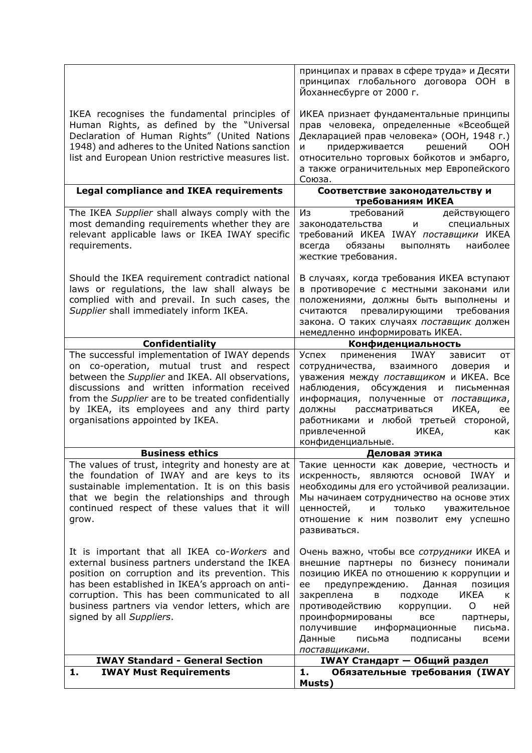|                                                                                                                                                                                                                                                                                                                                        | принципах и правах в сфере труда» и Десяти<br>принципах глобального договора ООН в<br>Йоханнесбурге от 2000 г.                                                                                                                                                                                                                                                                                                  |
|----------------------------------------------------------------------------------------------------------------------------------------------------------------------------------------------------------------------------------------------------------------------------------------------------------------------------------------|-----------------------------------------------------------------------------------------------------------------------------------------------------------------------------------------------------------------------------------------------------------------------------------------------------------------------------------------------------------------------------------------------------------------|
| IKEA recognises the fundamental principles of<br>Human Rights, as defined by the "Universal<br>Declaration of Human Rights" (United Nations<br>1948) and adheres to the United Nations sanction<br>list and European Union restrictive measures list.                                                                                  | ИКЕА признает фундаментальные принципы<br>прав человека, определенные «Всеобщей<br>Декларацией прав человека» (ООН, 1948 г.)<br>придерживается<br>решений<br><b>OOH</b><br>N<br>относительно торговых бойкотов и эмбарго,<br>а также ограничительных мер Европейского<br>Союза.                                                                                                                                 |
| <b>Legal compliance and IKEA requirements</b>                                                                                                                                                                                                                                                                                          | Соответствие законодательству и                                                                                                                                                                                                                                                                                                                                                                                 |
| The IKEA Supplier shall always comply with the                                                                                                                                                                                                                                                                                         | требованиям ИКЕА<br>требований<br>Из<br>действующего                                                                                                                                                                                                                                                                                                                                                            |
| most demanding requirements whether they are<br>relevant applicable laws or IKEA IWAY specific<br>requirements.                                                                                                                                                                                                                        | законодательства<br>специальных<br>и<br>требований ИКЕА IWAY поставщики ИКЕА<br>обязаны<br>всегда<br>ВЫПОЛНЯТЬ<br>наиболее<br>жесткие требования.                                                                                                                                                                                                                                                               |
| Should the IKEA requirement contradict national<br>laws or regulations, the law shall always be<br>complied with and prevail. In such cases, the<br>Supplier shall immediately inform IKEA.                                                                                                                                            | В случаях, когда требования ИКЕА вступают<br>в противоречие с местными законами или<br>положениями, должны быть выполнены и<br>превалирующими<br>требования<br>считаются<br>закона. О таких случаях поставщик должен<br>немедленно информировать ИКЕА.                                                                                                                                                          |
| Confidentiality                                                                                                                                                                                                                                                                                                                        | Конфиденциальность                                                                                                                                                                                                                                                                                                                                                                                              |
| The successful implementation of IWAY depends<br>on co-operation, mutual trust and respect<br>between the Supplier and IKEA. All observations,<br>discussions and written information received<br>from the Supplier are to be treated confidentially<br>by IKEA, its employees and any third party<br>organisations appointed by IKEA. | Успех<br>применения<br>IWAY<br>зависит<br><b>OT</b><br>сотрудничества,<br>взаимного<br>доверия<br>и<br>уважения между поставщиком и ИКЕА. Все<br>наблюдения, обсуждения<br>письменная<br>и<br>информация, полученные от поставщика,<br>рассматриваться<br>ИКЕА,<br>должны<br>ee<br>работниками и любой третьей стороной,<br>привлеченной<br>ИКЕА,<br>как<br>конфиденциальные.                                   |
| <b>Business ethics</b>                                                                                                                                                                                                                                                                                                                 | Деловая этика                                                                                                                                                                                                                                                                                                                                                                                                   |
| The values of trust, integrity and honesty are at<br>the foundation of IWAY and are keys to its<br>sustainable implementation. It is on this basis<br>that we begin the relationships and through<br>continued respect of these values that it will<br>grow.                                                                           | Такие ценности как доверие, честность и<br>искренность, являются основой IWAY и<br>необходимы для его устойчивой реализации.<br>Мы начинаем сотрудничество на основе этих<br>ценностей,<br>ТОЛЬКО<br>уважительное<br>и<br>отношение к ним позволит ему успешно<br>развиваться.                                                                                                                                  |
| It is important that all IKEA co-Workers and<br>external business partners understand the IKEA<br>position on corruption and its prevention. This<br>has been established in IKEA's approach on anti-<br>corruption. This has been communicated to all<br>business partners via vendor letters, which are<br>signed by all Suppliers.  | Очень важно, чтобы все сотрудники ИКЕА и<br>внешние партнеры по бизнесу понимали<br>позицию ИКЕА по отношению к коррупции и<br>предупреждению.<br>Данная<br>позиция<br>ee<br>ИКЕА<br>закреплена<br>подходе<br>в<br>к<br>противодействию<br>коррупции.<br>O<br>ней<br>проинформированы<br>все<br>партнеры,<br>получившие<br>информационные<br>письма.<br>Данные<br>письма<br>подписаны<br>всеми<br>поставщиками. |
| <b>IWAY Standard - General Section</b>                                                                                                                                                                                                                                                                                                 | <b>IWAY Стандарт - Общий раздел</b>                                                                                                                                                                                                                                                                                                                                                                             |
| 1.<br><b>IWAY Must Requirements</b>                                                                                                                                                                                                                                                                                                    | 1.<br>Обязательные требования (IWAY<br>Musts)                                                                                                                                                                                                                                                                                                                                                                   |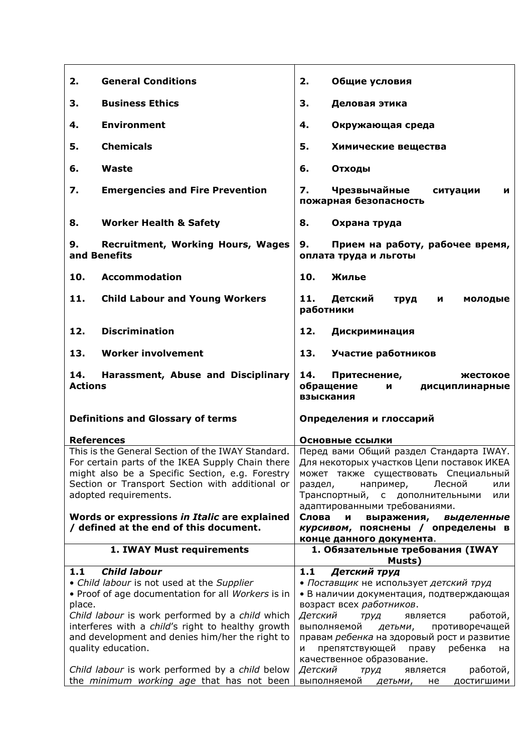| 2.             | <b>General Conditions</b>                                                                            | 2.      | Общие условия                                                                          |
|----------------|------------------------------------------------------------------------------------------------------|---------|----------------------------------------------------------------------------------------|
| 3.             | <b>Business Ethics</b>                                                                               | 3.      | Деловая этика                                                                          |
| 4.             | <b>Environment</b>                                                                                   | 4.      | Окружающая среда                                                                       |
| 5.             | <b>Chemicals</b>                                                                                     | 5.      | Химические вещества                                                                    |
| 6.             | Waste                                                                                                | 6.      | Отходы                                                                                 |
| 7.             | <b>Emergencies and Fire Prevention</b>                                                               | 7.      | Чрезвычайные<br>ситуации<br>N<br>пожарная безопасность                                 |
| 8.             | <b>Worker Health &amp; Safety</b>                                                                    | 8.      | Охрана труда                                                                           |
| 9.             | <b>Recruitment, Working Hours, Wages</b><br>and Benefits                                             | 9.      | Прием на работу, рабочее время,<br>оплата труда и льготы                               |
| 10.            | <b>Accommodation</b>                                                                                 | 10.     | Жилье                                                                                  |
| 11.            | <b>Child Labour and Young Workers</b>                                                                | 11.     | Детский<br>труд<br>и<br>молодые<br>работники                                           |
| 12.            | <b>Discrimination</b>                                                                                | 12.     | Дискриминация                                                                          |
| 13.            | <b>Worker involvement</b>                                                                            | 13.     | Участие работников                                                                     |
| 14.            | Harassment, Abuse and Disciplinary                                                                   |         |                                                                                        |
| <b>Actions</b> |                                                                                                      | 14.     | Притеснение,<br>жестокое<br>обращение<br>дисциплинарные<br>и<br>взыскания              |
|                | <b>Definitions and Glossary of terms</b>                                                             |         | Определения и глоссарий                                                                |
|                | <b>References</b>                                                                                    |         |                                                                                        |
|                | This is the General Section of the IWAY Standard.                                                    |         | Основные ссылки<br>Перед вами Общий раздел Стандарта IWAY.                             |
|                | For certain parts of the IKEA Supply Chain there                                                     |         | Для некоторых участков Цепи поставок ИКЕА                                              |
|                | might also be a Specific Section, e.g. Forestry                                                      |         | может также существовать Специальный                                                   |
|                | Section or Transport Section with additional or                                                      | раздел, | Лесной<br>например,<br>или                                                             |
|                | adopted requirements.                                                                                |         | Транспортный, с дополнительными<br>или                                                 |
|                |                                                                                                      |         | адаптированными требованиями.                                                          |
|                | Words or expressions in Italic are explained                                                         | Слова   | выражения,<br>И<br>выделенные                                                          |
|                | / defined at the end of this document.                                                               |         | курсивом, пояснены / определены в                                                      |
|                | 1. IWAY Must requirements                                                                            |         | конце данного документа.<br>1. Обязательные требования (IWAY                           |
|                |                                                                                                      |         | Musts)                                                                                 |
| 1.1            | <b>Child labour</b>                                                                                  | 1.1     | Детский труд                                                                           |
|                | • Child labour is not used at the Supplier                                                           |         | • Поставщик не использует детский труд                                                 |
|                | . Proof of age documentation for all Workers is in                                                   |         | • В наличии документация, подтверждающая                                               |
| place.         |                                                                                                      |         | возраст всех работников.                                                               |
|                | Child labour is work performed by a child which                                                      | Детский | работой,<br>труд<br>является                                                           |
|                | interferes with a child's right to healthy growth<br>and development and denies him/her the right to |         | противоречащей<br>выполняемой<br>детьми,<br>правам ребенка на здоровый рост и развитие |
|                | quality education.                                                                                   | N       | препятствующей<br>праву ребенка<br>на                                                  |
|                |                                                                                                      |         | качественное образование.                                                              |
|                | Child labour is work performed by a child below<br>the minimum working age that has not been         | Детский | работой,<br>труд<br>является<br>выполняемой<br>ДОСТИГШИМИ<br>детьми, не                |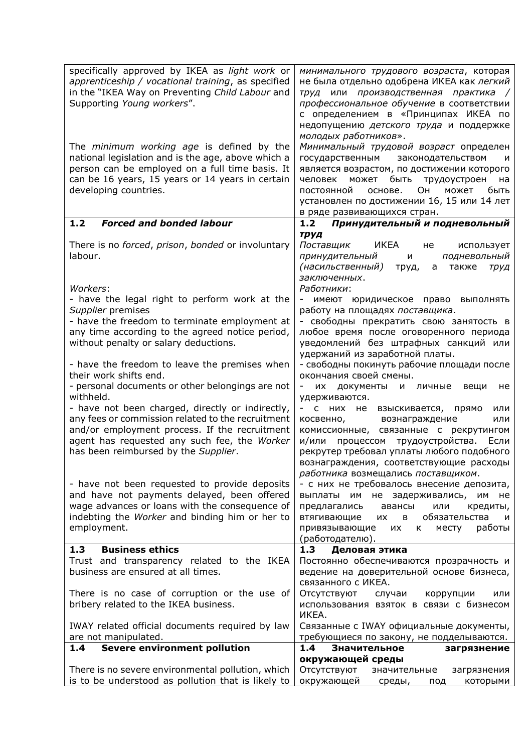| specifically approved by IKEA as light work or<br>apprenticeship / vocational training, as specified<br>in the "IKEA Way on Preventing Child Labour and<br>Supporting Young workers".                                                  | минимального трудового возраста, которая<br>не была отдельно одобрена ИКЕА как легкий<br>труд или производственная практика /<br>профессиональное обучение в соответствии<br>с определением в «Принципах ИКЕА по<br>недопущению детского труда и поддержке                        |
|----------------------------------------------------------------------------------------------------------------------------------------------------------------------------------------------------------------------------------------|-----------------------------------------------------------------------------------------------------------------------------------------------------------------------------------------------------------------------------------------------------------------------------------|
|                                                                                                                                                                                                                                        | молодых работников».                                                                                                                                                                                                                                                              |
| The <i>minimum working age</i> is defined by the<br>national legislation and is the age, above which a<br>person can be employed on a full time basis. It<br>can be 16 years, 15 years or 14 years in certain<br>developing countries. | Минимальный трудовой возраст определен<br>государственным<br>законодательством<br>и<br>является возрастом, по достижении которого<br>быть<br>человек<br>может<br>трудоустроен<br>на<br>Он<br>постоянной<br>может<br>быть<br>основе.<br>установлен по достижении 16, 15 или 14 лет |
| <b>Forced and bonded labour</b><br>1.2                                                                                                                                                                                                 | в ряде развивающихся стран.<br>Принудительный и подневольный<br>1.2                                                                                                                                                                                                               |
|                                                                                                                                                                                                                                        |                                                                                                                                                                                                                                                                                   |
| There is no forced, prison, bonded or involuntary<br>labour.                                                                                                                                                                           | труд<br>Поставщик<br>ИКЕА<br>использует<br>не<br>принудительный<br>подневольный<br>и<br>(насильственный)<br>также<br>труд,<br>a<br>труд                                                                                                                                           |
|                                                                                                                                                                                                                                        | заключенных.                                                                                                                                                                                                                                                                      |
| Workers:                                                                                                                                                                                                                               | Работники:                                                                                                                                                                                                                                                                        |
| - have the legal right to perform work at the<br>Supplier premises                                                                                                                                                                     | имеют юридическое право<br>ВЫПОЛНЯТЬ<br>работу на площадях поставщика.                                                                                                                                                                                                            |
| - have the freedom to terminate employment at                                                                                                                                                                                          | - свободны прекратить свою занятость в                                                                                                                                                                                                                                            |
| any time according to the agreed notice period,                                                                                                                                                                                        | любое время после оговоренного периода                                                                                                                                                                                                                                            |
| without penalty or salary deductions.                                                                                                                                                                                                  | уведомлений без штрафных санкций или                                                                                                                                                                                                                                              |
|                                                                                                                                                                                                                                        | удержаний из заработной платы.                                                                                                                                                                                                                                                    |
| - have the freedom to leave the premises when<br>their work shifts end.                                                                                                                                                                | - свободны покинуть рабочие площади после                                                                                                                                                                                                                                         |
| - personal documents or other belongings are not                                                                                                                                                                                       | окончания своей смены.<br>документы<br>и личные<br>-<br>их<br>вещи<br>не                                                                                                                                                                                                          |
| withheld.                                                                                                                                                                                                                              | удерживаются.                                                                                                                                                                                                                                                                     |
| - have not been charged, directly or indirectly,                                                                                                                                                                                       | взыскивается, прямо<br>C<br>них не<br>или                                                                                                                                                                                                                                         |
| any fees or commission related to the recruitment                                                                                                                                                                                      | вознаграждение<br>косвенно,<br>или                                                                                                                                                                                                                                                |
| and/or employment process. If the recruitment                                                                                                                                                                                          | комиссионные, связанные с рекрутингом                                                                                                                                                                                                                                             |
| agent has requested any such fee, the Worker<br>has been reimbursed by the Supplier.                                                                                                                                                   | и/или процессом трудоустройства.<br>Если<br>рекрутер требовал уплаты любого подобного                                                                                                                                                                                             |
|                                                                                                                                                                                                                                        | вознаграждения, соответствующие расходы                                                                                                                                                                                                                                           |
|                                                                                                                                                                                                                                        | работника возмещались поставщиком.                                                                                                                                                                                                                                                |
| - have not been requested to provide deposits                                                                                                                                                                                          | - с них не требовалось внесение депозита,                                                                                                                                                                                                                                         |
| and have not payments delayed, been offered                                                                                                                                                                                            | выплаты им не задерживались,<br>им<br>не                                                                                                                                                                                                                                          |
| wage advances or loans with the consequence of                                                                                                                                                                                         | предлагались<br>авансы<br>или<br>кредиты,                                                                                                                                                                                                                                         |
| indebting the Worker and binding him or her to<br>employment.                                                                                                                                                                          | втягивающие<br>обязательства<br>их<br>в<br>и<br>работы<br>привязывающие<br>месту<br>их<br>K –                                                                                                                                                                                     |
|                                                                                                                                                                                                                                        | (работодателю).                                                                                                                                                                                                                                                                   |
| <b>Business ethics</b><br>1.3                                                                                                                                                                                                          | 1.3<br>Деловая этика                                                                                                                                                                                                                                                              |
| Trust and transparency related to the IKEA                                                                                                                                                                                             | Постоянно обеспечиваются прозрачность и                                                                                                                                                                                                                                           |
| business are ensured at all times.                                                                                                                                                                                                     | ведение на доверительной основе бизнеса,                                                                                                                                                                                                                                          |
|                                                                                                                                                                                                                                        | связанного с ИКЕА.                                                                                                                                                                                                                                                                |
| There is no case of corruption or the use of<br>bribery related to the IKEA business.                                                                                                                                                  | Отсутствуют<br>коррупции<br>случаи<br>или<br>использования взяток в связи с бизнесом                                                                                                                                                                                              |
|                                                                                                                                                                                                                                        | ИКЕА.                                                                                                                                                                                                                                                                             |
| IWAY related official documents required by law                                                                                                                                                                                        | Связанные с IWAY официальные документы,                                                                                                                                                                                                                                           |
| are not manipulated.                                                                                                                                                                                                                   | требующиеся по закону, не подделываются.                                                                                                                                                                                                                                          |
| Severe environment pollution<br>1.4                                                                                                                                                                                                    | 1.4<br>Значительное<br>загрязнение                                                                                                                                                                                                                                                |
| There is no severe environmental pollution, which                                                                                                                                                                                      | окружающей среды<br>Отсутствуют                                                                                                                                                                                                                                                   |
| is to be understood as pollution that is likely to                                                                                                                                                                                     | значительные<br>загрязнения<br>окружающей<br>которыми<br>среды,<br>под                                                                                                                                                                                                            |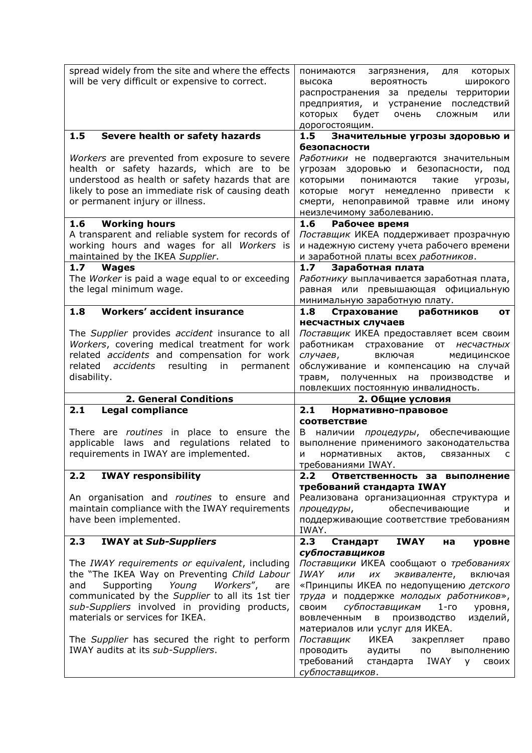| spread widely from the site and where the effects<br>will be very difficult or expensive to correct.                                                                                                                                                                                                                                                                           | понимаются<br>загрязнения,<br>которых<br>для<br>вероятность<br>широкого<br>высока<br>распространения за пределы территории<br>предприятия, и устранение последствий<br>которых<br>будет<br>очень<br>СЛОЖНЫМ<br>или<br>дорогостоящим.                                                                                                                                                                                                                                                              |
|--------------------------------------------------------------------------------------------------------------------------------------------------------------------------------------------------------------------------------------------------------------------------------------------------------------------------------------------------------------------------------|---------------------------------------------------------------------------------------------------------------------------------------------------------------------------------------------------------------------------------------------------------------------------------------------------------------------------------------------------------------------------------------------------------------------------------------------------------------------------------------------------|
| 1.5<br>Severe health or safety hazards                                                                                                                                                                                                                                                                                                                                         | 1.5<br>Значительные угрозы здоровью и                                                                                                                                                                                                                                                                                                                                                                                                                                                             |
| Workers are prevented from exposure to severe<br>health or safety hazards, which are to be<br>understood as health or safety hazards that are<br>likely to pose an immediate risk of causing death<br>or permanent injury or illness.                                                                                                                                          | безопасности<br>Работники не подвергаются значительным<br>угрозам здоровью и безопасности, под<br>которыми<br>понимаются<br>такие<br>угрозы,<br>которые могут немедленно привести к<br>смерти, непоправимой травме или иному<br>неизлечимому заболеванию.                                                                                                                                                                                                                                         |
| <b>Working hours</b><br>1.6                                                                                                                                                                                                                                                                                                                                                    | 1.6<br>Рабочее время                                                                                                                                                                                                                                                                                                                                                                                                                                                                              |
| A transparent and reliable system for records of<br>working hours and wages for all Workers is<br>maintained by the IKEA Supplier.                                                                                                                                                                                                                                             | Поставщик ИКЕА поддерживает прозрачную<br>и надежную систему учета рабочего времени<br>и заработной платы всех работников.                                                                                                                                                                                                                                                                                                                                                                        |
| 1.7<br><b>Wages</b>                                                                                                                                                                                                                                                                                                                                                            | 1.7 <sub>2</sub><br>Заработная плата                                                                                                                                                                                                                                                                                                                                                                                                                                                              |
| The Worker is paid a wage equal to or exceeding                                                                                                                                                                                                                                                                                                                                | Работнику выплачивается заработная плата,                                                                                                                                                                                                                                                                                                                                                                                                                                                         |
| the legal minimum wage.                                                                                                                                                                                                                                                                                                                                                        | равная или превышающая официальную                                                                                                                                                                                                                                                                                                                                                                                                                                                                |
| <b>Workers' accident insurance</b><br>1.8                                                                                                                                                                                                                                                                                                                                      | минимальную заработную плату.<br>Страхование<br>1.8<br>работников<br>OТ                                                                                                                                                                                                                                                                                                                                                                                                                           |
|                                                                                                                                                                                                                                                                                                                                                                                | несчастных случаев                                                                                                                                                                                                                                                                                                                                                                                                                                                                                |
| The Supplier provides accident insurance to all<br>Workers, covering medical treatment for work<br>related accidents and compensation for work<br>accidents<br>resulting<br>related<br>in<br>permanent<br>disability.                                                                                                                                                          | Поставщик ИКЕА предоставляет всем своим<br>работникам страхование от<br>несчастных<br>случаев,<br>включая<br>медицинское<br>обслуживание и компенсацию на случай<br>травм,<br>полученных на<br>производстве и<br>повлекших постоянную инвалидность.                                                                                                                                                                                                                                               |
| <b>2. General Conditions</b>                                                                                                                                                                                                                                                                                                                                                   | 2. Общие условия                                                                                                                                                                                                                                                                                                                                                                                                                                                                                  |
| 2.1<br><b>Legal compliance</b>                                                                                                                                                                                                                                                                                                                                                 | 2.1<br>Нормативно-правовое                                                                                                                                                                                                                                                                                                                                                                                                                                                                        |
| There are routines in place to ensure the<br>applicable laws and regulations related<br>to<br>requirements in IWAY are implemented.                                                                                                                                                                                                                                            | <b>СООТВЕТСТВИЕ</b><br>обеспечивающие<br>B<br>наличии процедуры,<br>выполнение применимого законодательства<br>нормативных<br>актов,<br>связанных<br>и<br>c<br>требованиями IWAY.                                                                                                                                                                                                                                                                                                                 |
| <b>IWAY responsibility</b><br>2.2                                                                                                                                                                                                                                                                                                                                              | 2.2<br>Ответственность за выполнение                                                                                                                                                                                                                                                                                                                                                                                                                                                              |
| An organisation and routines to ensure and<br>maintain compliance with the IWAY requirements<br>have been implemented.                                                                                                                                                                                                                                                         | требований стандарта IWAY<br>Реализована организационная структура и<br>обеспечивающие<br>процедуры,<br>и<br>поддерживающие соответствие требованиям<br>IWAY.                                                                                                                                                                                                                                                                                                                                     |
| 2.3<br><b>IWAY at Sub-Suppliers</b>                                                                                                                                                                                                                                                                                                                                            | 2.3<br><b>IWAY</b><br>Стандарт<br>на<br>уровне                                                                                                                                                                                                                                                                                                                                                                                                                                                    |
| The IWAY requirements or equivalent, including<br>the "The IKEA Way on Preventing Child Labour<br>Supporting<br>Young<br>Workers",<br>and<br>are<br>communicated by the Supplier to all its 1st tier<br>sub-Suppliers involved in providing products,<br>materials or services for IKEA.<br>The Supplier has secured the right to perform<br>IWAY audits at its sub-Suppliers. | субпоставщиков<br>Поставщики ИКЕА сообщают о требованиях<br>IWAY<br>или<br>включая<br>ИХ<br>эквиваленте,<br>«Принципы ИКЕА по недопущению детского<br>труда и поддержке молодых работников»,<br>субпоставщикам<br>СВОИМ<br>$1-$ го<br>уровня,<br>изделий,<br>вовлеченным<br>в<br>производство<br>материалов или услуг для ИКЕА.<br>Поставщик<br>ИКЕА<br>закрепляет<br>право<br>проводить<br>выполнению<br>аудиты<br>по<br>требований<br>IWAY<br>стандарта<br><b>Y</b><br>СВОИХ<br>субпоставщиков. |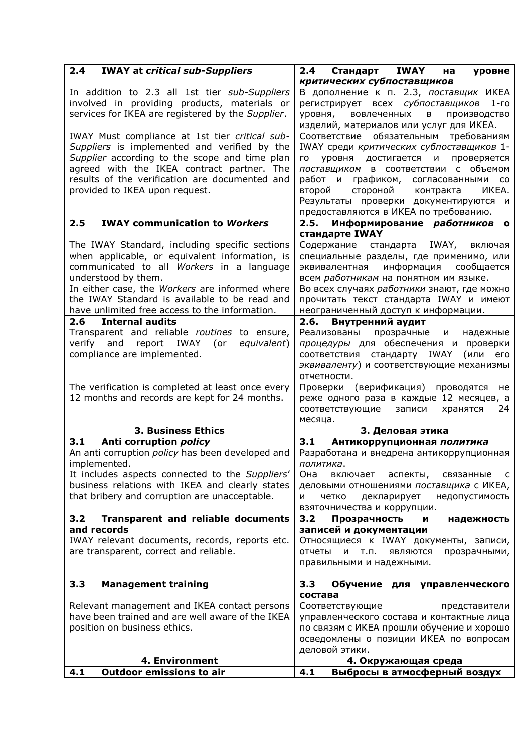| 2.4<br><b>IWAY at critical sub-Suppliers</b>                                                       | 2.4<br>IWAY<br>Стандарт<br>на<br>уровне                                                |
|----------------------------------------------------------------------------------------------------|----------------------------------------------------------------------------------------|
|                                                                                                    | критических субпоставщиков                                                             |
| In addition to 2.3 all 1st tier sub-Suppliers                                                      | В дополнение к п. 2.3, поставщик ИКЕА                                                  |
| involved in providing products, materials or                                                       | регистрирует всех субпоставщиков<br>$1-FO$                                             |
| services for IKEA are registered by the Supplier.                                                  | уровня,<br>вовлеченных<br>$\mathbf{B}$<br>Производство                                 |
|                                                                                                    | изделий, материалов или услуг для ИКЕА.                                                |
| IWAY Must compliance at 1st tier critical sub-<br>Suppliers is implemented and verified by the     | Соответствие обязательным<br>требованиям<br>IWAY среди критических субпоставщиков 1-   |
| Supplier according to the scope and time plan                                                      | уровня достигается и<br>проверяется<br><b>LO</b>                                       |
| agreed with the IKEA contract partner. The                                                         | поставщиком в соответствии с объемом                                                   |
| results of the verification are documented and                                                     | работ и<br>графиком, согласованными<br><b>CO</b>                                       |
| provided to IKEA upon request.                                                                     | стороной контракта<br>второй<br>ИКЕА.                                                  |
|                                                                                                    | Результаты проверки документируются и                                                  |
|                                                                                                    | предоставляются в ИКЕА по требованию.                                                  |
| <b>IWAY communication to Workers</b><br>2.5                                                        | 2.5. Информирование работников<br>$\Omega$                                             |
|                                                                                                    | стандарте IWAY                                                                         |
| The IWAY Standard, including specific sections                                                     | Содержание стандарта IWAY,<br>включая                                                  |
| when applicable, or equivalent information, is                                                     | специальные разделы, где применимо, или                                                |
| communicated to all Workers in a language                                                          | информация сообщается<br>эквивалентная                                                 |
| understood by them.<br>In either case, the Workers are informed where                              | всем работникам на понятном им языке.<br>Во всех случаях работники знают, где можно    |
| the IWAY Standard is available to be read and                                                      | прочитать текст стандарта IWAY и имеют                                                 |
| have unlimited free access to the information.                                                     | неограниченный доступ к информации.                                                    |
| <b>Internal audits</b><br>2.6                                                                      | 2.6. Внутренний аудит                                                                  |
| Transparent and reliable routines to ensure,                                                       | Реализованы прозрачные<br>И<br>надежные                                                |
| IWAY<br>verify<br>and<br>report<br>(or<br>equivalent)                                              | процедуры для обеспечения и проверки                                                   |
| compliance are implemented.                                                                        | соответствия стандарту IWAY<br>(или<br>его                                             |
|                                                                                                    | эквиваленту) и соответствующие механизмы                                               |
|                                                                                                    | отчетности.                                                                            |
| The verification is completed at least once every<br>12 months and records are kept for 24 months. | Проверки (верификация)<br>проводятся<br>не<br>реже одного раза в каждые 12 месяцев, а  |
|                                                                                                    | соответствующие<br>записи<br>24<br>хранятся                                            |
|                                                                                                    | месяца.                                                                                |
| <b>3. Business Ethics</b>                                                                          | 3. Деловая этика                                                                       |
| Anti corruption policy<br>3.1                                                                      | 3.1<br>Антикоррупционная политика                                                      |
| An anti corruption policy has been developed and                                                   | Разработана и внедрена антикоррупционная                                               |
| implemented.                                                                                       | политика.                                                                              |
| It includes aspects connected to the Suppliers'<br>business relations with IKEA and clearly states | Она<br>включает<br>аспекты,<br>связанные<br>C                                          |
| that bribery and corruption are unacceptable.                                                      | деловыми отношениями поставщика с ИКЕА,<br>N<br>декларирует<br>недопустимость<br>четко |
|                                                                                                    | взяточничества и коррупции.                                                            |
| 3.2<br><b>Transparent and reliable documents</b>                                                   | 3.2<br>Прозрачность<br>И<br>надежность                                                 |
| and records                                                                                        | записей и документации                                                                 |
| IWAY relevant documents, records, reports etc.                                                     | Относящиеся к IWAY документы, записи,                                                  |
| are transparent, correct and reliable.                                                             | и т.п.<br>прозрачными,<br>отчеты<br>являются                                           |
|                                                                                                    | правильными и надежными.                                                               |
| <b>Management training</b><br>3.3                                                                  | 3.3<br>Обучение для управленческого                                                    |
|                                                                                                    | состава                                                                                |
| Relevant management and IKEA contact persons                                                       | Соответствующие<br>представители                                                       |
| have been trained and are well aware of the IKEA                                                   | управленческого состава и контактные лица                                              |
| position on business ethics.                                                                       | по связям с ИКЕА прошли обучение и хорошо                                              |
|                                                                                                    | осведомлены о позиции ИКЕА по вопросам                                                 |
|                                                                                                    | деловой этики.                                                                         |
|                                                                                                    |                                                                                        |
| 4. Environment<br><b>Outdoor emissions to air</b><br>4.1                                           | 4. Окружающая среда<br>4.1<br>Выбросы в атмосферный воздух                             |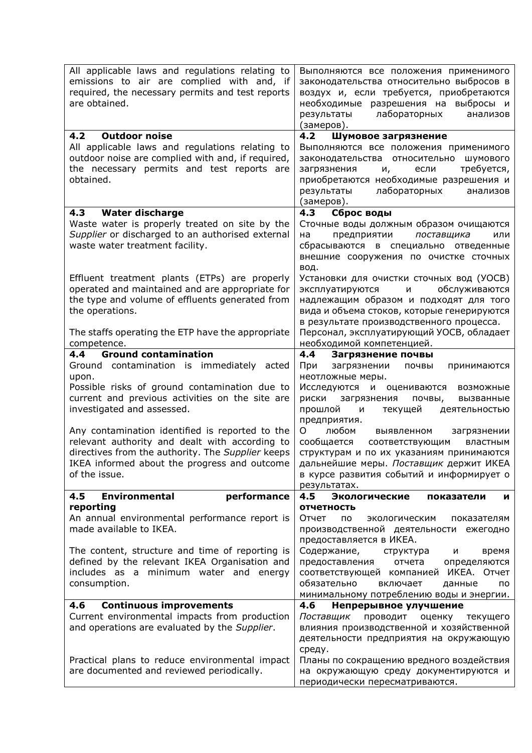| All applicable laws and regulations relating to<br>emissions to air are complied with and, if<br>required, the necessary permits and test reports<br>are obtained.                                                                                                                                                                                                                                              | Выполняются все положения применимого<br>законодательства относительно выбросов в<br>воздух и, если требуется, приобретаются<br>необходимые разрешения на выбросы и<br>лабораторных<br>результаты<br>анализов<br>(замеров).                                                                                                                                                                                                                                |
|-----------------------------------------------------------------------------------------------------------------------------------------------------------------------------------------------------------------------------------------------------------------------------------------------------------------------------------------------------------------------------------------------------------------|------------------------------------------------------------------------------------------------------------------------------------------------------------------------------------------------------------------------------------------------------------------------------------------------------------------------------------------------------------------------------------------------------------------------------------------------------------|
| <b>Outdoor noise</b><br>4.2                                                                                                                                                                                                                                                                                                                                                                                     | Шумовое загрязнение<br>4.2                                                                                                                                                                                                                                                                                                                                                                                                                                 |
| All applicable laws and regulations relating to<br>outdoor noise are complied with and, if required,<br>the necessary permits and test reports are<br>obtained.                                                                                                                                                                                                                                                 | Выполняются все положения применимого<br>законодательства относительно<br>шумового<br>требуется,<br>загрязнения<br>если<br>и,<br>приобретаются необходимые разрешения и<br>лабораторных<br>результаты<br>анализов<br>(замеров).                                                                                                                                                                                                                            |
| <b>Water discharge</b><br>4.3                                                                                                                                                                                                                                                                                                                                                                                   | 4.3<br>Сброс воды                                                                                                                                                                                                                                                                                                                                                                                                                                          |
| Waste water is properly treated on site by the<br>Supplier or discharged to an authorised external<br>waste water treatment facility.                                                                                                                                                                                                                                                                           | Сточные воды должным образом очищаются<br>на<br>предприятии<br>поставщика<br>или<br>сбрасываются в специально отведенные<br>внешние сооружения по очистке сточных<br>вод.                                                                                                                                                                                                                                                                                  |
| Effluent treatment plants (ETPs) are properly<br>operated and maintained and are appropriate for<br>the type and volume of effluents generated from<br>the operations.                                                                                                                                                                                                                                          | Установки для очистки сточных вод (УОСВ)<br>обслуживаются<br>эксплуатируются<br>И<br>надлежащим образом и подходят для того<br>вида и объема стоков, которые генерируются<br>в результате производственного процесса.                                                                                                                                                                                                                                      |
| The staffs operating the ETP have the appropriate<br>competence.                                                                                                                                                                                                                                                                                                                                                | Персонал, эксплуатирующий УОСВ, обладает<br>необходимой компетенцией.                                                                                                                                                                                                                                                                                                                                                                                      |
| <b>Ground contamination</b><br>4.4                                                                                                                                                                                                                                                                                                                                                                              | 4.4<br>Загрязнение почвы                                                                                                                                                                                                                                                                                                                                                                                                                                   |
| Ground contamination is immediately acted<br>upon.<br>Possible risks of ground contamination due to<br>current and previous activities on the site are<br>investigated and assessed.<br>Any contamination identified is reported to the<br>relevant authority and dealt with according to<br>directives from the authority. The Supplier keeps<br>IKEA informed about the progress and outcome<br>of the issue. | загрязнении<br>При<br>почвы<br>принимаются<br>неотложные меры.<br>Исследуются и оцениваются<br>возможные<br>риски<br>загрязнения<br>почвы,<br>вызванные<br>прошлой<br>текущей<br>и<br>деятельностью<br>предприятия.<br>O<br>любом<br>выявленном<br>загрязнении<br>сообщается соответствующим<br>властным<br>структурам и по их указаниям принимаются<br>дальнейшие меры. Поставщик держит ИКЕА<br>в курсе развития событий и информирует о<br>результатах. |
| performance<br><b>Environmental</b><br>4.5                                                                                                                                                                                                                                                                                                                                                                      | 4.5<br>Экологические<br>показатели<br>и                                                                                                                                                                                                                                                                                                                                                                                                                    |
| reporting<br>An annual environmental performance report is<br>made available to IKEA.                                                                                                                                                                                                                                                                                                                           | <b>ОТЧЕТНОСТЬ</b><br>Отчет<br>пo.<br>экологическим<br>показателям<br>производственной деятельности ежегодно<br>предоставляется в ИКЕА.                                                                                                                                                                                                                                                                                                                     |
| The content, structure and time of reporting is<br>defined by the relevant IKEA Organisation and<br>includes as a minimum water and energy<br>consumption.                                                                                                                                                                                                                                                      | Содержание,<br>время<br>структура<br>и<br>предоставления<br>отчета<br>определяются<br>соответствующей компанией ИКЕА. Отчет<br>обязательно<br>включает<br>данные<br>пo<br>минимальному потреблению воды и энергии.                                                                                                                                                                                                                                         |
| 4.6<br><b>Continuous improvements</b>                                                                                                                                                                                                                                                                                                                                                                           | 4.6<br>Непрерывное улучшение                                                                                                                                                                                                                                                                                                                                                                                                                               |
| Current environmental impacts from production<br>and operations are evaluated by the Supplier.                                                                                                                                                                                                                                                                                                                  | Поставщик<br>проводит<br>оценку<br>текущего<br>влияния производственной и хозяйственной<br>деятельности предприятия на окружающую<br>среду.                                                                                                                                                                                                                                                                                                                |
| Practical plans to reduce environmental impact<br>are documented and reviewed periodically.                                                                                                                                                                                                                                                                                                                     | Планы по сокращению вредного воздействия<br>на окружающую среду документируются и<br>периодически пересматриваются.                                                                                                                                                                                                                                                                                                                                        |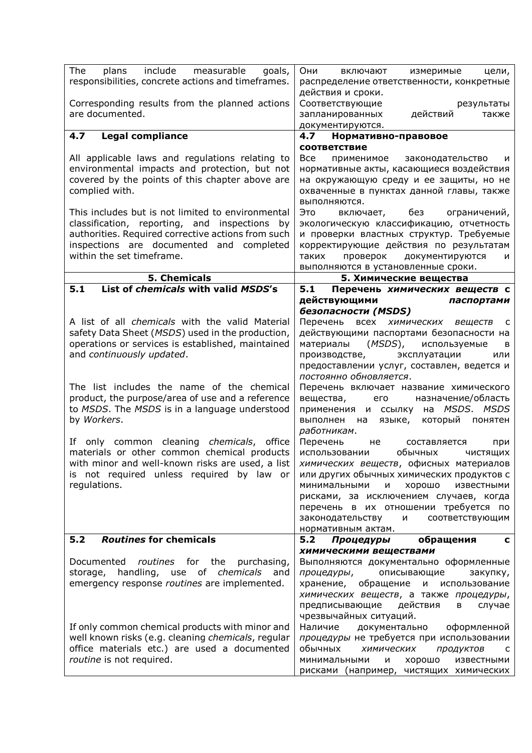| The<br>include<br>measurable<br>plans<br>goals,                                          | Они<br>включают<br>измеримые<br>цели,                                         |
|------------------------------------------------------------------------------------------|-------------------------------------------------------------------------------|
| responsibilities, concrete actions and timeframes.                                       | распределение ответственности, конкретные                                     |
|                                                                                          | действия и сроки.                                                             |
| Corresponding results from the planned actions<br>are documented.                        | Соответствующие<br>результаты<br>действий                                     |
|                                                                                          | запланированных<br>также<br>документируются.                                  |
| <b>Legal compliance</b><br>4.7                                                           | Нормативно-правовое<br>4.7                                                    |
|                                                                                          | <b>СООТВЕТСТВИЕ</b>                                                           |
| All applicable laws and regulations relating to                                          | Bce<br>применимое<br>законодательство<br>и                                    |
| environmental impacts and protection, but not                                            | нормативные акты, касающиеся воздействия                                      |
| covered by the points of this chapter above are                                          | на окружающую среду и ее защиты, но не                                        |
| complied with.                                                                           | охваченные в пунктах данной главы, также                                      |
| This includes but is not limited to environmental                                        | выполняются.<br>Это<br>без<br>ограничений,<br>включает,                       |
| classification, reporting, and inspections by                                            | экологическую классификацию, отчетность                                       |
| authorities. Required corrective actions from such                                       | и проверки властных структур. Требуемые                                       |
| inspections are documented and completed                                                 | корректирующие действия по результатам                                        |
| within the set timeframe.                                                                | проверок<br>документируются<br>таких<br>и                                     |
|                                                                                          | выполняются в установленные сроки.                                            |
| 5. Chemicals<br>List of chemicals with valid MSDS's<br>5.1                               | 5. Химические вещества                                                        |
|                                                                                          | 5.1<br>Перечень химических веществ с<br>действующими<br>паспортами            |
|                                                                                          | безопасности (MSDS)                                                           |
| A list of all <i>chemicals</i> with the valid Material                                   | Перечень<br>всех химических веществ<br>c                                      |
| safety Data Sheet (MSDS) used in the production,                                         | действующими паспортами безопасности на                                       |
| operations or services is established, maintained                                        | (MSDS), используемые<br>материалы<br>в                                        |
| and continuously updated.                                                                | эксплуатации<br>производстве,<br>или                                          |
|                                                                                          | предоставлении услуг, составлен, ведется и<br>постоянно обновляется.          |
| The list includes the name of the chemical                                               | Перечень включает название химического                                        |
| product, the purpose/area of use and a reference                                         | вещества,<br>назначение/область<br>его                                        |
| to MSDS. The MSDS is in a language understood                                            | на <i>MSDS</i> . MSDS<br>применения и ссылку                                  |
| by Workers.                                                                              | выполнен<br>который<br>на<br>языке,<br>понятен                                |
|                                                                                          | работникам.                                                                   |
| If only common cleaning chemicals, office<br>materials or other common chemical products | Перечень<br>не<br>составляется<br>при<br>использовании<br>обычных<br>ЧИСТЯЩИХ |
| with minor and well-known risks are used, a list                                         | химических веществ, офисных материалов                                        |
| is not required unless required by law or                                                | или других обычных химических продуктов с                                     |
| regulations.                                                                             | минимальными<br>И<br>хорошо<br>известными                                     |
|                                                                                          | рисками, за исключением случаев, когда                                        |
|                                                                                          | перечень в их отношении требуется по                                          |
|                                                                                          | законодательству<br>и соответствующим<br>нормативным актам.                   |
| 5.2<br><b>Routines for chemicals</b>                                                     | обращения<br>5.2<br>Процедуры<br>c                                            |
|                                                                                          | химическими веществами                                                        |
| <i>routines</i> for the purchasing,<br>Documented                                        | Выполняются документально оформленные                                         |
| storage, handling, use of chemicals and                                                  | описывающие<br>процедуры,<br>закупку,                                         |
| emergency response routines are implemented.                                             | хранение, обращение<br>использование<br>И                                     |
|                                                                                          | химических веществ, а также процедуры,<br>действия                            |
|                                                                                          | предписывающие<br>в<br>случае<br>чрезвычайных ситуаций.                       |
| If only common chemical products with minor and                                          | Наличие<br>документально оформленной                                          |
| well known risks (e.g. cleaning chemicals, regular                                       | процедуры не требуется при использовании                                      |
| office materials etc.) are used a documented                                             | обычных<br>химических<br>продуктов<br>C                                       |
| routine is not required.                                                                 | минимальными<br>и<br>хорошо<br>известными                                     |
|                                                                                          | рисками (например, чистящих химических                                        |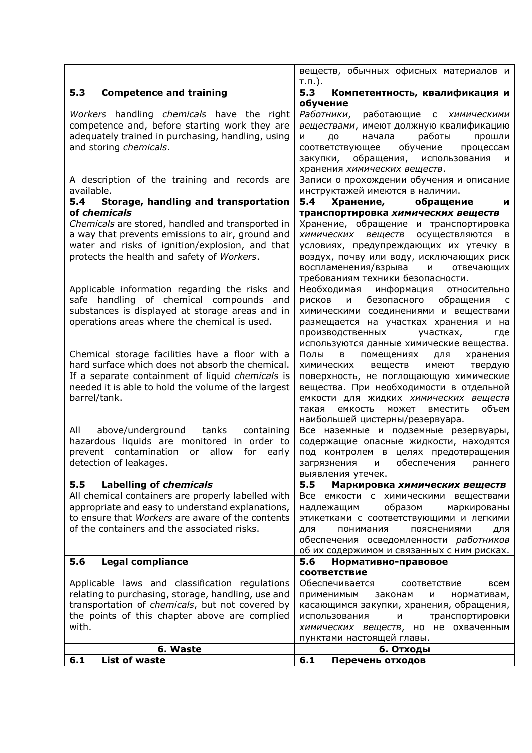|                                                                                               | веществ, обычных офисных материалов и<br>$T.\Pi.$ ).                             |
|-----------------------------------------------------------------------------------------------|----------------------------------------------------------------------------------|
| 5.3<br><b>Competence and training</b>                                                         | 5.3<br>Компетентность, квалификация и                                            |
| Workers handling chemicals have the right                                                     | обучение<br>Работники,<br>работающие с химическими                               |
| competence and, before starting work they are                                                 | веществами, имеют должную квалификацию                                           |
| adequately trained in purchasing, handling, using                                             | работы<br>начала<br>и<br>до<br>прошли                                            |
| and storing chemicals.                                                                        | обучение<br>соответствующее<br>процессам                                         |
|                                                                                               | обращения, использования<br>закупки,<br>и                                        |
|                                                                                               | хранения химических веществ.                                                     |
| A description of the training and records are                                                 | Записи о прохождении обучения и описание                                         |
| available.                                                                                    | инструктажей имеются в наличии.                                                  |
| Storage, handling and transportation<br>5.4<br>of chemicals                                   | 5.4<br>Хранение,<br>обращение<br>И                                               |
| Chemicals are stored, handled and transported in                                              | транспортировка химических веществ<br>Хранение, обращение и транспортировка      |
| a way that prevents emissions to air, ground and                                              | химических<br>веществ<br>осуществляются<br>в                                     |
| water and risks of ignition/explosion, and that                                               | условиях, предупреждающих их утечку в                                            |
| protects the health and safety of Workers.                                                    | воздух, почву или воду, исключающих риск                                         |
|                                                                                               | воспламенения/взрыва<br>и<br>отвечающих                                          |
|                                                                                               | требованиям техники безопасности.                                                |
| Applicable information regarding the risks and                                                | Необходимая<br>информация<br>относительно                                        |
| safe handling of chemical compounds and                                                       | безопасного<br>обращения<br>рисков<br>и<br>C                                     |
| substances is displayed at storage areas and in                                               | химическими соединениями и веществами                                            |
| operations areas where the chemical is used.                                                  | размещается на участках хранения и на                                            |
|                                                                                               | участках,<br>производственных<br>где<br>используются данные химические вещества. |
| Chemical storage facilities have a floor with a                                               | Полы<br>помещениях<br>хранения<br>в<br>для                                       |
| hard surface which does not absorb the chemical.                                              | химических<br>веществ<br>имеют<br>твердую                                        |
| If a separate containment of liquid chemicals is                                              | поверхность, не поглощающую химические                                           |
| needed it is able to hold the volume of the largest                                           | вещества. При необходимости в отдельной                                          |
| barrel/tank.                                                                                  | емкости для жидких химических веществ                                            |
|                                                                                               | объем<br>такая<br>емкость<br>может<br>вместить                                   |
|                                                                                               | наибольшей цистерны/резервуара.                                                  |
| All<br>above/underground tanks<br>containing                                                  | Все наземные и подземные резервуары,                                             |
| hazardous liquids are monitored in order to<br>prevent contamination<br>or allow<br>for early | содержащие опасные жидкости, находятся<br>под контролем в целях предотвращения   |
| detection of leakages.                                                                        | загрязнения и обеспечения раннего                                                |
|                                                                                               | выявления утечек.                                                                |
| Labelling of chemicals<br>5.5                                                                 | 5.5<br>Маркировка химических веществ                                             |
| All chemical containers are properly labelled with                                            | Все емкости с химическими веществами                                             |
| appropriate and easy to understand explanations,                                              | образом<br>надлежащим<br>маркированы                                             |
| to ensure that Workers are aware of the contents                                              | этикетками с соответствующими и легкими                                          |
| of the containers and the associated risks.                                                   | понимания<br>пояснениями<br>для<br>для                                           |
|                                                                                               | обеспечения осведомленности работников                                           |
| <b>Legal compliance</b><br>5.6                                                                | об их содержимом и связанных с ним рисках.<br>5.6<br>Нормативно-правовое         |
|                                                                                               | соответствие                                                                     |
| Applicable laws and classification regulations                                                | Обеспечивается<br>всем<br>соответствие                                           |
| relating to purchasing, storage, handling, use and                                            | применимым<br>нормативам,<br>законам<br>и                                        |
| transportation of chemicals, but not covered by                                               | касающимся закупки, хранения, обращения,                                         |
| the points of this chapter above are complied                                                 | транспортировки<br>использования<br>и                                            |
| with.                                                                                         | химических веществ, но не охваченным                                             |
|                                                                                               | пунктами настоящей главы.                                                        |
| 6. Waste<br><b>List of waste</b><br>6.1                                                       | 6. Отходы<br>6.1<br>Перечень отходов                                             |
|                                                                                               |                                                                                  |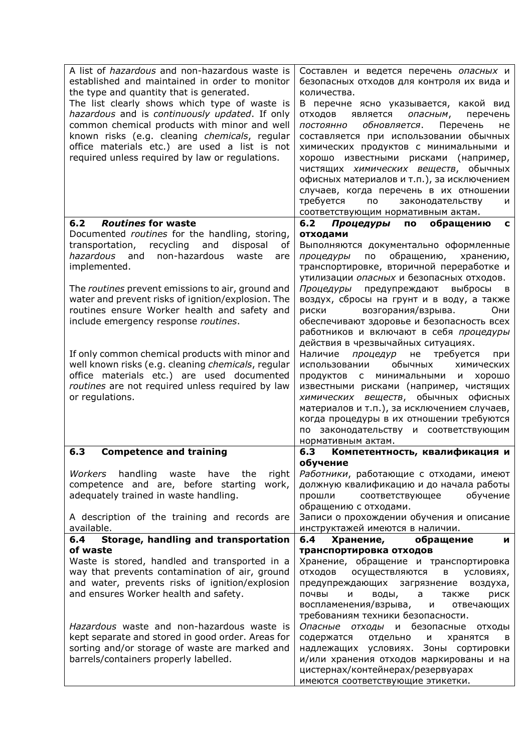| A list of <i>hazardous</i> and non-hazardous waste is<br>established and maintained in order to monitor<br>the type and quantity that is generated.<br>The list clearly shows which type of waste is<br>hazardous and is continuously updated. If only<br>common chemical products with minor and well<br>known risks (e.g. cleaning chemicals, regular<br>office materials etc.) are used a list is not<br>required unless required by law or requlations.                                                                                                                                                                                       | Составлен и ведется перечень опасных и<br>безопасных отходов для контроля их вида и<br>количества.<br>В перечне ясно указывается, какой вид<br>отходов<br>является<br>опасным,<br>перечень<br>обновляется.<br>ПОСТОЯННО<br>Перечень<br>не<br>составляется при использовании обычных<br>химических продуктов с минимальными и<br>хорошо известными рисками (например,<br>чистящих химических веществ, обычных<br>офисных материалов и т.п.), за исключением<br>случаев, когда перечень в их отношении<br>требуется<br>$\overline{a}$<br>законодательству<br>и                                                                                                                                                                                                                                                                                                                                    |
|---------------------------------------------------------------------------------------------------------------------------------------------------------------------------------------------------------------------------------------------------------------------------------------------------------------------------------------------------------------------------------------------------------------------------------------------------------------------------------------------------------------------------------------------------------------------------------------------------------------------------------------------------|-------------------------------------------------------------------------------------------------------------------------------------------------------------------------------------------------------------------------------------------------------------------------------------------------------------------------------------------------------------------------------------------------------------------------------------------------------------------------------------------------------------------------------------------------------------------------------------------------------------------------------------------------------------------------------------------------------------------------------------------------------------------------------------------------------------------------------------------------------------------------------------------------|
|                                                                                                                                                                                                                                                                                                                                                                                                                                                                                                                                                                                                                                                   | соответствующим нормативным актам.                                                                                                                                                                                                                                                                                                                                                                                                                                                                                                                                                                                                                                                                                                                                                                                                                                                              |
| <b>Routines for waste</b><br>6.2<br>Documented routines for the handling, storing,<br>transportation,<br>recycling<br>and<br>disposal<br>of<br>hazardous<br>and<br>non-hazardous<br>waste<br>are<br>implemented.<br>The routines prevent emissions to air, ground and<br>water and prevent risks of ignition/explosion. The<br>routines ensure Worker health and safety and<br>include emergency response routines.<br>If only common chemical products with minor and<br>well known risks (e.g. cleaning chemicals, regular<br>office materials etc.) are used documented<br>routines are not required unless required by law<br>or regulations. | 6.2<br>Процедуры<br>обращению<br>ПО<br>C<br>отходами<br>Выполняются документально оформленные<br>обращению,<br>по<br>процедуры<br>хранению,<br>транспортировке, вторичной переработке и<br>утилизации опасных и безопасных отходов.<br>выбросы<br>Процедуры<br>предупреждают<br>B<br>воздух, сбросы на грунт и в воду, а также<br><b>риски</b><br>возгорания/взрыва.<br>Они<br>обеспечивают здоровье и безопасность всех<br>работников и включают в себя процедуры<br>действия в чрезвычайных ситуациях.<br>Наличие<br>требуется<br>процедур<br>не<br>при<br>обычных<br>использовании<br>химических<br>минимальными<br>хорошо<br>продуктов<br>c<br>и<br>известными рисками (например, чистящих<br>химических веществ, обычных офисных<br>материалов и т.п.), за исключением случаев,<br>когда процедуры в их отношении требуются<br>по законодательству и соответствующим<br>нормативным актам. |
| 6.3<br><b>Competence and training</b>                                                                                                                                                                                                                                                                                                                                                                                                                                                                                                                                                                                                             | Компетентность, квалификация и<br>6.3                                                                                                                                                                                                                                                                                                                                                                                                                                                                                                                                                                                                                                                                                                                                                                                                                                                           |
| handling waste have the<br>right<br>Workers<br>competence and are, before starting<br>work,<br>adequately trained in waste handling.<br>A description of the training and records are                                                                                                                                                                                                                                                                                                                                                                                                                                                             | обучение<br>Работники, работающие с отходами, имеют<br>должную квалификацию и до начала работы<br>обучение<br>прошли<br>соответствующее<br>обращению с отходами.<br>Записи о прохождении обучения и описание                                                                                                                                                                                                                                                                                                                                                                                                                                                                                                                                                                                                                                                                                    |
| available.                                                                                                                                                                                                                                                                                                                                                                                                                                                                                                                                                                                                                                        | инструктажей имеются в наличии.                                                                                                                                                                                                                                                                                                                                                                                                                                                                                                                                                                                                                                                                                                                                                                                                                                                                 |
| Storage, handling and transportation<br>6.4                                                                                                                                                                                                                                                                                                                                                                                                                                                                                                                                                                                                       | 6.4<br>Хранение,<br>обращение<br>и                                                                                                                                                                                                                                                                                                                                                                                                                                                                                                                                                                                                                                                                                                                                                                                                                                                              |
| of waste<br>Waste is stored, handled and transported in a<br>way that prevents contamination of air, ground<br>and water, prevents risks of ignition/explosion<br>and ensures Worker health and safety.<br>Hazardous waste and non-hazardous waste is<br>kept separate and stored in good order. Areas for<br>sorting and/or storage of waste are marked and<br>barrels/containers properly labelled.                                                                                                                                                                                                                                             | транспортировка отходов<br>Хранение, обращение и транспортировка<br>отходов<br>осуществляются<br>условиях,<br>В<br>предупреждающих<br>загрязнение<br>воздуха,<br>почвы<br>N<br>воды,<br>риск<br>a<br>также<br>воспламенения/взрыва,<br>и<br>отвечающих<br>требованиям техники безопасности.<br>Опасные<br>ОТХОДЫ<br>и безопасные<br>отходы<br>содержатся<br>отдельно<br>хранятся<br>N<br>в<br>надлежащих условиях. Зоны сортировки<br>и/или хранения отходов маркированы и на<br>цистернах/контейнерах/резервуарах<br>имеются соответствующие этикетки.                                                                                                                                                                                                                                                                                                                                         |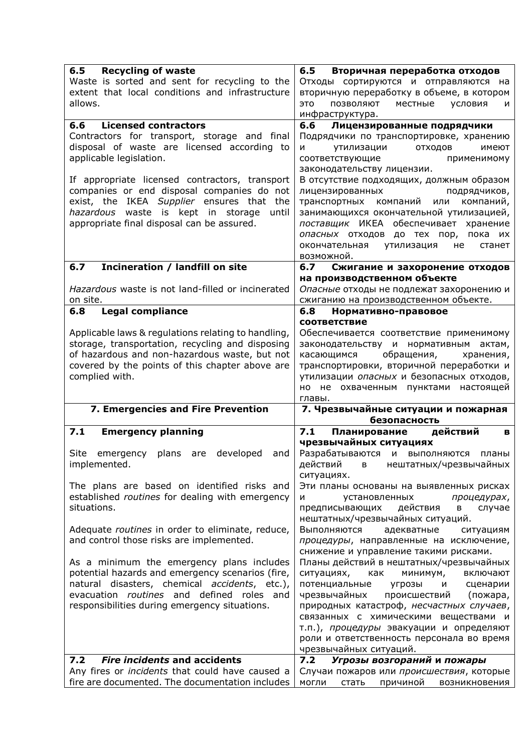| 6.5<br><b>Recycling of waste</b>                                                                          | $6.5$<br>Вторичная переработка отходов                                            |
|-----------------------------------------------------------------------------------------------------------|-----------------------------------------------------------------------------------|
| Waste is sorted and sent for recycling to the                                                             | Отходы сортируются и отправляются на                                              |
| extent that local conditions and infrastructure                                                           | вторичную переработку в объеме, в котором                                         |
| allows.                                                                                                   | это<br>позволяют<br>местные<br>условия<br>и                                       |
|                                                                                                           | инфраструктура.                                                                   |
| <b>Licensed contractors</b><br>6.6                                                                        | 6.6<br>Лицензированные подрядчики                                                 |
| Contractors for transport, storage and final                                                              | Подрядчики по транспортировке, хранению                                           |
| disposal of waste are licensed according to                                                               | N<br>утилизации<br>отходов<br>имеют                                               |
| applicable legislation.                                                                                   | соответствующие<br>применимому                                                    |
|                                                                                                           | законодательству лицензии.                                                        |
| If appropriate licensed contractors, transport                                                            | В отсутствие подходящих, должным образом                                          |
| companies or end disposal companies do not                                                                | лицензированных<br>подрядчиков,                                                   |
| exist, the IKEA Supplier ensures that the                                                                 | транспортных компаний или<br>компаний,                                            |
| hazardous waste is kept in storage<br>until                                                               | занимающихся окончательной утилизацией,                                           |
| appropriate final disposal can be assured.                                                                | поставщик ИКЕА обеспечивает хранение                                              |
|                                                                                                           | опасных отходов до тех пор, пока их                                               |
|                                                                                                           | утилизация<br>окончательная<br>не<br>станет                                       |
|                                                                                                           | возможной.                                                                        |
| Incineration / landfill on site<br>6.7                                                                    | 6.7<br>Сжигание и захоронение отходов                                             |
| Hazardous waste is not land-filled or incinerated                                                         | на производственном объекте                                                       |
| on site.                                                                                                  | Опасные отходы не подлежат захоронению и<br>сжиганию на производственном объекте. |
| <b>Legal compliance</b><br>6.8                                                                            | 6.8<br>Нормативно-правовое                                                        |
|                                                                                                           | соответствие                                                                      |
| Applicable laws & regulations relating to handling,                                                       | Обеспечивается соответствие применимому                                           |
| storage, transportation, recycling and disposing                                                          | законодательству и нормативным<br>актам,                                          |
| of hazardous and non-hazardous waste, but not                                                             | касающимся<br>обращения,<br>хранения,                                             |
| covered by the points of this chapter above are                                                           | транспортировки, вторичной переработки и                                          |
| complied with.                                                                                            | утилизации опасных и безопасных отходов,                                          |
|                                                                                                           | но не охваченным пунктами настоящей                                               |
|                                                                                                           |                                                                                   |
|                                                                                                           | главы.                                                                            |
| 7. Emergencies and Fire Prevention                                                                        | 7. Чрезвычайные ситуации и пожарная                                               |
|                                                                                                           | безопасность                                                                      |
| 7.1<br><b>Emergency planning</b>                                                                          | Планирование<br>7.1<br>действий<br>в                                              |
|                                                                                                           | чрезвычайных ситуациях                                                            |
| plans are developed<br>Site emergency<br>and                                                              | Разрабатываются и выполняются планы                                               |
| implemented.                                                                                              | действий в нештатных/чрезвычайных                                                 |
|                                                                                                           | ситуациях.                                                                        |
| The plans are based on identified risks and                                                               | Эти планы основаны на выявленных рисках                                           |
| established routines for dealing with emergency                                                           | N<br>установленных<br>процедурах,                                                 |
| situations.                                                                                               | действия<br>предписывающих<br>случае<br>в                                         |
|                                                                                                           | нештатных/чрезвычайных ситуаций.                                                  |
| Adequate routines in order to eliminate, reduce,                                                          | Выполняются<br>адекватные<br>ситуациям                                            |
| and control those risks are implemented.                                                                  | процедуры, направленные на исключение,                                            |
|                                                                                                           | снижение и управление такими рисками.                                             |
| As a minimum the emergency plans includes                                                                 | Планы действий в нештатных/чрезвычайных                                           |
| potential hazards and emergency scenarios (fire,                                                          | ситуациях,<br>минимум,<br>как<br>включают                                         |
| natural disasters, chemical accidents, etc.),<br>evacuation routines and defined roles and                | потенциальные<br>угрозы<br>сценарии<br>и                                          |
|                                                                                                           | чрезвычайных<br>происшествий<br>(пожара,                                          |
| responsibilities during emergency situations.                                                             | природных катастроф, несчастных случаев,<br>связанных с химическими веществами и  |
|                                                                                                           | т.п.), процедуры эвакуации и определяют                                           |
|                                                                                                           | роли и ответственность персонала во время                                         |
|                                                                                                           | чрезвычайных ситуаций.                                                            |
| <b>Fire incidents and accidents</b><br>7.2                                                                | Угрозы возгораний и пожары<br>7.2                                                 |
| Any fires or <i>incidents</i> that could have caused a<br>fire are documented. The documentation includes | Случаи пожаров или происшествия, которые                                          |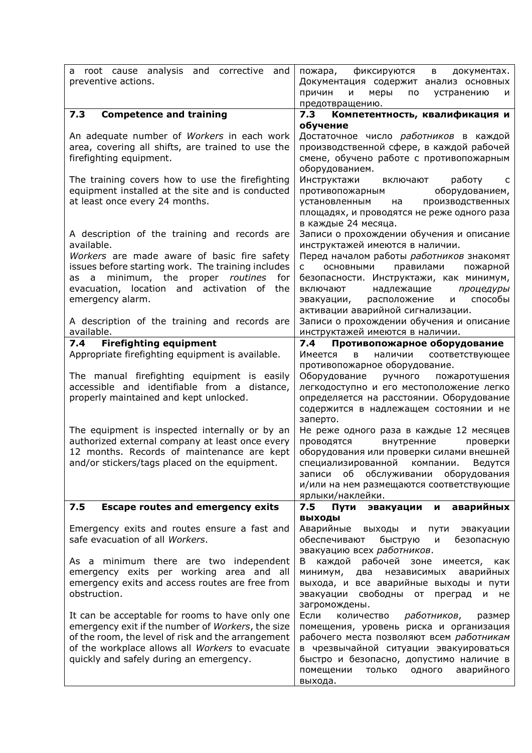| root cause analysis and corrective<br>and<br>a<br>preventive actions.                                                                                                                                                                                                       | фиксируются<br>пожара,<br>документах.<br>B i<br>Документация содержит анализ основных<br>меры<br>причин<br>И<br>по<br>устранению<br>и<br>предотвращению.                                                                                                                                                                                                                                                     |
|-----------------------------------------------------------------------------------------------------------------------------------------------------------------------------------------------------------------------------------------------------------------------------|--------------------------------------------------------------------------------------------------------------------------------------------------------------------------------------------------------------------------------------------------------------------------------------------------------------------------------------------------------------------------------------------------------------|
| <b>Competence and training</b><br>7.3                                                                                                                                                                                                                                       | Компетентность, квалификация и<br>7.3                                                                                                                                                                                                                                                                                                                                                                        |
| An adequate number of Workers in each work<br>area, covering all shifts, are trained to use the<br>firefighting equipment.<br>The training covers how to use the firefighting<br>equipment installed at the site and is conducted<br>at least once every 24 months.         | обучение<br>Достаточное число работников в каждой<br>производственной сфере, в каждой рабочей<br>смене, обучено работе с противопожарным<br>оборудованием.<br>Инструктажи<br>работу<br>включают<br>$\overline{c}$<br>оборудованием,<br>противопожарным<br>установленным на<br>производственных                                                                                                               |
| A description of the training and records are<br>available.<br>Workers are made aware of basic fire safety<br>issues before starting work. The training includes<br>as a minimum, the proper routines for<br>evacuation, location and activation of the<br>emergency alarm. | площадях, и проводятся не реже одного раза<br>в каждые 24 месяца.<br>Записи о прохождении обучения и описание<br>инструктажей имеются в наличии.<br>Перед началом работы работников знакомят<br>правилами<br>пожарной<br>ОСНОВНЫМИ<br>c<br>безопасности. Инструктажи, как минимум,<br>надлежащие<br>процедуры<br>включают<br>способы<br>эвакуации,<br>расположение<br>M<br>активации аварийной сигнализации. |
| A description of the training and records are<br>available.                                                                                                                                                                                                                 | Записи о прохождении обучения и описание<br>инструктажей имеются в наличии.                                                                                                                                                                                                                                                                                                                                  |
| <b>Firefighting equipment</b><br>7.4                                                                                                                                                                                                                                        | Противопожарное оборудование<br>7.4                                                                                                                                                                                                                                                                                                                                                                          |
| Appropriate firefighting equipment is available.                                                                                                                                                                                                                            | Имеется<br>наличии соответствующее<br>в                                                                                                                                                                                                                                                                                                                                                                      |
| The manual firefighting equipment is easily<br>accessible and identifiable from a distance,<br>properly maintained and kept unlocked.                                                                                                                                       | противопожарное оборудование.<br>Оборудование<br>ручного<br>пожаротушения<br>легкодоступно и его местоположение легко<br>определяется на расстоянии. Оборудование<br>содержится в надлежащем состоянии и не<br>заперто.                                                                                                                                                                                      |
| The equipment is inspected internally or by an<br>authorized external company at least once every<br>12 months. Records of maintenance are kept<br>and/or stickers/tags placed on the equipment.                                                                            | Не реже одного раза в каждые 12 месяцев<br>проводятся<br>внутренние<br>проверки<br>оборудования или проверки силами внешней<br>специализированной компании. Ведутся<br>записи об обслуживании оборудования<br>и/или на нем размещаются соответствующие<br>ярлыки/наклейки.                                                                                                                                   |
| <b>Escape routes and emergency exits</b><br>7.5                                                                                                                                                                                                                             | 7.5<br>Пути<br>эвакуации<br>аварийных<br>и                                                                                                                                                                                                                                                                                                                                                                   |
| Emergency exits and routes ensure a fast and<br>safe evacuation of all Workers.                                                                                                                                                                                             | <b>ВЫХОДЫ</b><br>Аварийные<br>выходы и пути эвакуации<br>обеспечивают быструю<br>безопасную<br>M<br>эвакуацию всех работников.                                                                                                                                                                                                                                                                               |
| As a minimum there are two independent<br>emergency exits per working area and all<br>emergency exits and access routes are free from<br>obstruction.                                                                                                                       | В каждой рабочей зоне имеется, как<br>минимум,<br>два независимых<br>аварийных<br>выхода, и все аварийные выходы и пути<br>эвакуации свободны от преград<br>и не<br>загромождены.                                                                                                                                                                                                                            |
| It can be acceptable for rooms to have only one<br>emergency exit if the number of Workers, the size<br>of the room, the level of risk and the arrangement<br>of the workplace allows all Workers to evacuate<br>quickly and safely during an emergency.                    | Если<br>количество работников,<br>размер<br>помещения, уровень риска и организация<br>рабочего места позволяют всем работникам<br>в чрезвычайной ситуации эвакуироваться<br>быстро и безопасно, допустимо наличие в<br>аварийного<br>помещении<br>только<br>одного<br>выхода.                                                                                                                                |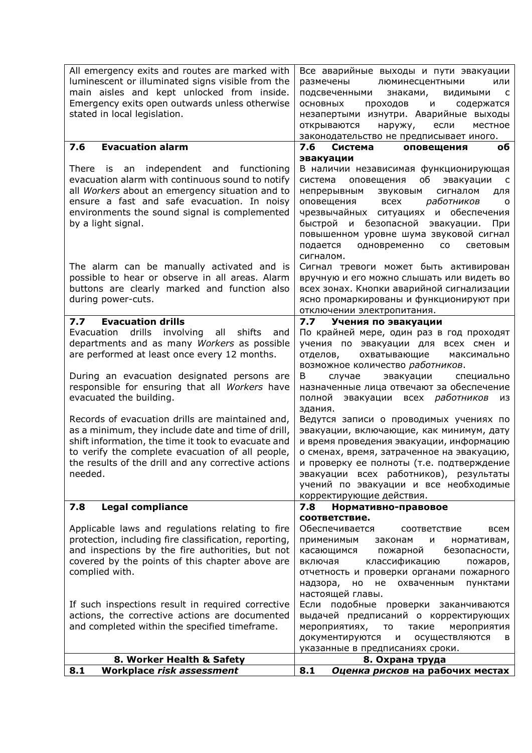| All emergency exits and routes are marked with<br>luminescent or illuminated signs visible from the<br>main aisles and kept unlocked from inside.<br>Emergency exits open outwards unless otherwise<br>stated in local legislation.                                                                                                                                                        | Все аварийные выходы и пути эвакуации<br>размечены<br>люминесцентными<br>или<br>подсвеченными<br>знаками,<br>ВИДИМЫМИ<br>$\overline{C}$<br>ОСНОВНЫХ<br>проходов и<br>содержатся<br>незапертыми изнутри. Аварийные выходы<br>открываются<br>наружу,<br>если<br>местное<br>законодательство не предписывает иного.                                                                                                                         |
|--------------------------------------------------------------------------------------------------------------------------------------------------------------------------------------------------------------------------------------------------------------------------------------------------------------------------------------------------------------------------------------------|------------------------------------------------------------------------------------------------------------------------------------------------------------------------------------------------------------------------------------------------------------------------------------------------------------------------------------------------------------------------------------------------------------------------------------------|
| <b>Evacuation alarm</b><br>7.6                                                                                                                                                                                                                                                                                                                                                             | 7.6<br>Система<br>оповещения<br>οб                                                                                                                                                                                                                                                                                                                                                                                                       |
| There is an independent and functioning<br>evacuation alarm with continuous sound to notify<br>all Workers about an emergency situation and to<br>ensure a fast and safe evacuation. In noisy<br>environments the sound signal is complemented<br>by a light signal.                                                                                                                       | эвакуации<br>В наличии независимая функционирующая<br>система<br>оповещения<br>об<br>эвакуации<br>$\overline{\phantom{a}}$ C<br>непрерывным<br>звуковым<br>сигналом<br>для<br>работников<br>оповещения всех<br>$\circ$<br>чрезвычайных ситуациях и обеспечения<br>быстрой и безопасной<br>эвакуации.<br>При<br>повышенном уровне шума звуковой сигнал<br>подается<br>одновременно<br><b>CO</b><br>световым<br>сигналом.                  |
| The alarm can be manually activated and is<br>possible to hear or observe in all areas. Alarm<br>buttons are clearly marked and function also<br>during power-cuts.                                                                                                                                                                                                                        | Сигнал тревоги может быть активирован<br>вручную и его можно слышать или видеть во<br>всех зонах. Кнопки аварийной сигнализации<br>ясно промаркированы и функционируют при<br>отключении электропитания.                                                                                                                                                                                                                                 |
| <b>Evacuation drills</b><br>7.7                                                                                                                                                                                                                                                                                                                                                            | Учения по эвакуации<br>7.7                                                                                                                                                                                                                                                                                                                                                                                                               |
| drills<br>involving<br>shifts<br>Evacuation<br>all<br>and<br>departments and as many Workers as possible<br>are performed at least once every 12 months.                                                                                                                                                                                                                                   | По крайней мере, один раз в год проходят<br>учения по эвакуации для всех смен и<br>отделов,<br>охватывающие<br>максимально<br>возможное количество работников.                                                                                                                                                                                                                                                                           |
| During an evacuation designated persons are<br>responsible for ensuring that all Workers have<br>evacuated the building.                                                                                                                                                                                                                                                                   | B<br>случае<br>эвакуации<br>специально<br>назначенные лица отвечают за обеспечение<br>полной эвакуации всех работников<br>из<br>здания.                                                                                                                                                                                                                                                                                                  |
| Records of evacuation drills are maintained and,<br>as a minimum, they include date and time of drill,<br>shift information, the time it took to evacuate and<br>to verify the complete evacuation of all people,<br>the results of the drill and any corrective actions<br>needed.                                                                                                        | Ведутся записи о проводимых учениях по<br>эвакуации, включающие, как минимум, дату<br>и время проведения эвакуации, информацию<br>о сменах, время, затраченное на эвакуацию,<br>и проверку ее полноты (т.е. подтверждение<br>эвакуации всех работников), результаты<br>учений по эвакуации и все необходимые<br>корректирующие действия.                                                                                                 |
| 7.8<br><b>Legal compliance</b>                                                                                                                                                                                                                                                                                                                                                             | 7.8<br>Нормативно-правовое                                                                                                                                                                                                                                                                                                                                                                                                               |
| Applicable laws and regulations relating to fire<br>protection, including fire classification, reporting,<br>and inspections by the fire authorities, but not<br>covered by the points of this chapter above are<br>complied with.<br>If such inspections result in required corrective<br>actions, the corrective actions are documented<br>and completed within the specified timeframe. | соответствие.<br>Обеспечивается<br>всем<br>соответствие<br>применимым<br>нормативам,<br>законам<br>и<br>касающимся<br>пожарной<br>безопасности,<br>классификацию<br>включая<br>пожаров,<br>отчетность и проверки органами пожарного<br>охваченным<br>надзора,<br>HO<br>не<br>пунктами<br>настоящей главы.<br>Если подобные проверки заканчиваются<br>выдачей предписаний о корректирующих<br>мероприятиях,<br>такие<br>мероприятия<br>TO |
|                                                                                                                                                                                                                                                                                                                                                                                            | документируются<br>осуществляются<br>И<br>в                                                                                                                                                                                                                                                                                                                                                                                              |
| 8. Worker Health & Safety                                                                                                                                                                                                                                                                                                                                                                  | указанные в предписаниях сроки.<br>8. Охрана труда                                                                                                                                                                                                                                                                                                                                                                                       |
| Workplace risk assessment<br>8.1                                                                                                                                                                                                                                                                                                                                                           | Оценка рисков на рабочих местах<br>8.1                                                                                                                                                                                                                                                                                                                                                                                                   |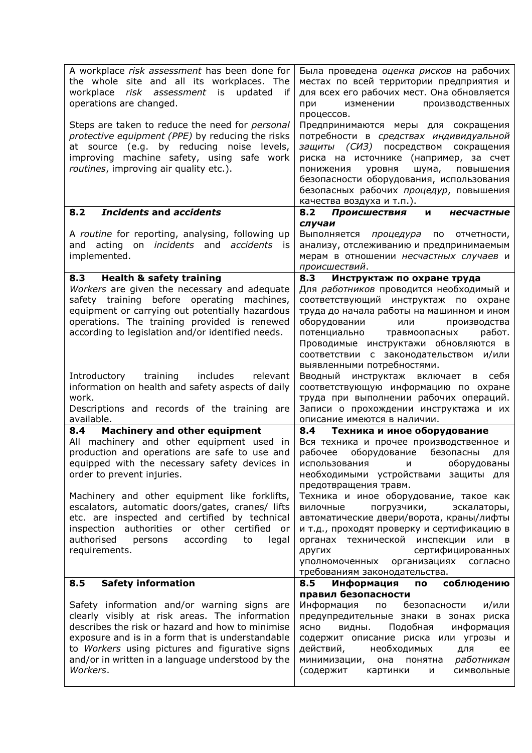| A workplace risk assessment has been done for<br>the whole site and all its workplaces. The<br>workplace risk assessment is updated if<br>operations are changed.<br>Steps are taken to reduce the need for personal<br>protective equipment (PPE) by reducing the risks<br>at source (e.g. by reducing noise levels,<br>improving machine safety, using safe work             | Была проведена оценка рисков на рабочих<br>местах по всей территории предприятия и<br>для всех его рабочих мест. Она обновляется<br>при<br>изменении<br>производственных<br>процессов.<br>Предпринимаются меры для сокращения<br>потребности в средствах индивидуальной<br>защиты (СИЗ) посредством сокращения<br>риска на источнике (например, за счет   |
|--------------------------------------------------------------------------------------------------------------------------------------------------------------------------------------------------------------------------------------------------------------------------------------------------------------------------------------------------------------------------------|-----------------------------------------------------------------------------------------------------------------------------------------------------------------------------------------------------------------------------------------------------------------------------------------------------------------------------------------------------------|
| routines, improving air quality etc.).                                                                                                                                                                                                                                                                                                                                         | уровня<br>шума,<br>повышения<br>понижения<br>безопасности оборудования, использования<br>безопасных рабочих процедур, повышения<br>качества воздуха и т.п.).                                                                                                                                                                                              |
| <b>Incidents and accidents</b><br>8.2                                                                                                                                                                                                                                                                                                                                          | 8.2<br>Происшествия<br>несчастные<br>N                                                                                                                                                                                                                                                                                                                    |
| A routine for reporting, analysing, following up<br>and acting<br>on <i>incidents</i> and <i>accidents</i><br>is i<br>implemented.                                                                                                                                                                                                                                             | случаи<br>Выполняется процедура по<br>отчетности,<br>анализу, отслеживанию и предпринимаемым<br>мерам в отношении несчастных случаев и<br>происшествий.                                                                                                                                                                                                   |
| <b>Health &amp; safety training</b><br>8.3                                                                                                                                                                                                                                                                                                                                     | Инструктаж по охране труда<br>8.3                                                                                                                                                                                                                                                                                                                         |
| Workers are given the necessary and adequate<br>safety training before operating<br>machines,<br>equipment or carrying out potentially hazardous<br>operations. The training provided is renewed<br>according to legislation and/or identified needs.                                                                                                                          | Для работников проводится необходимый и<br>соответствующий инструктаж по охране<br>труда до начала работы на машинном и ином<br>оборудовании<br>производства<br>или<br>травмоопасных<br>потенциально<br>работ.<br>Проводимые инструктажи обновляются в<br>соответствии с законодательством и/или<br>выявленными потребностями.                            |
| training<br>includes relevant<br>Introductory<br>information on health and safety aspects of daily<br>work.<br>Descriptions and records of the training are                                                                                                                                                                                                                    | Вводный инструктаж<br>включает<br>в себя<br>соответствующую информацию по охране<br>труда при выполнении рабочих операций.<br>Записи о прохождении инструктажа и их                                                                                                                                                                                       |
| available.                                                                                                                                                                                                                                                                                                                                                                     | описание имеются в наличии.                                                                                                                                                                                                                                                                                                                               |
| 8.4<br><b>Machinery and other equipment</b><br>All machinery and other equipment used in<br>production and operations are safe to use and<br>equipped with the necessary safety devices in<br>order to prevent injuries.<br>Machinery and other equipment like forklifts,<br>escalators, automatic doors/gates, cranes/ lifts<br>etc. are inspected and certified by technical | 8.4<br>Техника и иное оборудование<br>Вся техника и прочее производственное и<br>рабочее оборудование безопасны<br>для<br>оборудованы<br>использования и<br>необходимыми устройствами защиты для<br>предотвращения травм.<br>Техника и иное оборудование, такое как<br>вилочные<br>погрузчики,<br>эскалаторы,<br>автоматические двери/ворота, краны/лифты |
| inspection authorities or other<br>certified or<br>authorised<br>according<br>to<br>persons<br>legal<br>requirements.                                                                                                                                                                                                                                                          | и т.д., проходят проверку и сертификацию в<br>технической инспекции<br>органах<br>или в<br>сертифицированных<br>других<br>уполномоченных организациях<br>согласно<br>требованиям законодательства.                                                                                                                                                        |
| <b>Safety information</b><br>8.5                                                                                                                                                                                                                                                                                                                                               | 8.5<br>Информация<br>соблюдению<br>ПО                                                                                                                                                                                                                                                                                                                     |
| Safety information and/or warning signs are<br>clearly visibly at risk areas. The information<br>describes the risk or hazard and how to minimise<br>exposure and is in a form that is understandable<br>to Workers using pictures and figurative signs<br>and/or in written in a language understood by the<br>Workers.                                                       | правил безопасности<br>Информация<br>по<br>безопасности<br>и/или<br>предупредительные знаки в зонах риска<br>Подобная<br>ясно<br>информация<br>видны.<br>содержит описание риска или угрозы и<br>действий,<br>необходимых<br>для<br>ee<br>работникам<br>минимизации,<br>она<br>понятна<br>(содержит<br>картинки<br>символьные<br>И                        |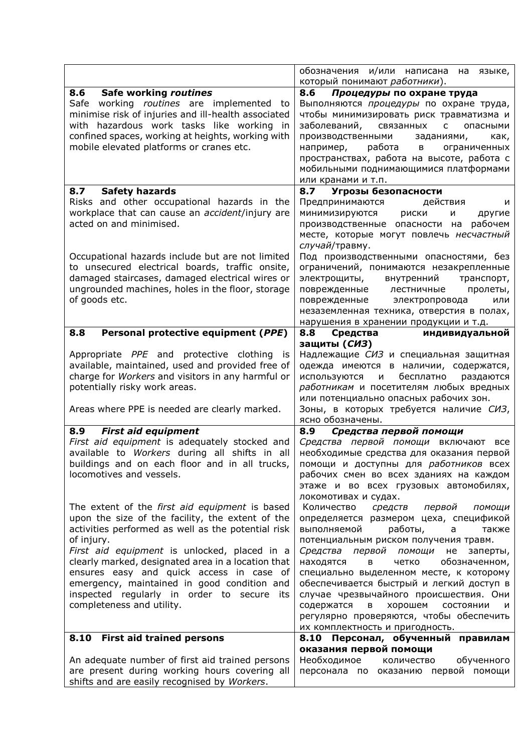|                                                                                                                                                                                                                                                                            | обозначения и/или написана на языке,                                                                                                                                                                                                                                                                                                                       |
|----------------------------------------------------------------------------------------------------------------------------------------------------------------------------------------------------------------------------------------------------------------------------|------------------------------------------------------------------------------------------------------------------------------------------------------------------------------------------------------------------------------------------------------------------------------------------------------------------------------------------------------------|
|                                                                                                                                                                                                                                                                            | который понимают работники).                                                                                                                                                                                                                                                                                                                               |
| 8.6 Safe working routines<br>Safe working routines are implemented to<br>minimise risk of injuries and ill-health associated<br>with hazardous work tasks like working in<br>confined spaces, working at heights, working with<br>mobile elevated platforms or cranes etc. | 8.6<br>Процедуры по охране труда<br>Выполняются процедуры по охране труда,<br>чтобы минимизировать риск травматизма и<br>заболеваний, связанных с<br>опасными<br>производственными<br>заданиями,<br>как,<br>например, работа в<br>ограниченных<br>пространствах, работа на высоте, работа с<br>мобильными поднимающимися платформами<br>или кранами и т.п. |
| <b>Safety hazards</b><br>8.7                                                                                                                                                                                                                                               | Угрозы безопасности<br>8.7                                                                                                                                                                                                                                                                                                                                 |
| Risks and other occupational hazards in the<br>workplace that can cause an accident/injury are<br>acted on and minimised.                                                                                                                                                  | Предпринимаются действия<br>и<br>минимизируются<br>риски<br>другие<br>N<br>производственные опасности на рабочем<br>месте, которые могут повлечь несчастный<br>случай/травму.                                                                                                                                                                              |
| Occupational hazards include but are not limited<br>to unsecured electrical boards, traffic onsite,<br>damaged staircases, damaged electrical wires or<br>ungrounded machines, holes in the floor, storage<br>of goods etc.                                                | Под производственными опасностями, без<br>ограничений, понимаются незакрепленные<br>внутренний<br>электрощиты,<br>транспорт,<br>поврежденные лестничные<br>пролеты,<br>поврежденные электропровода<br>или<br>незаземленная техника, отверстия в полах,<br>нарушения в хранении продукции и т.д.                                                            |
| Personal protective equipment (PPE)<br>8.8                                                                                                                                                                                                                                 | 8.8<br>Средства<br>индивидуальной                                                                                                                                                                                                                                                                                                                          |
| Appropriate PPE and protective clothing is<br>available, maintained, used and provided free of<br>charge for Workers and visitors in any harmful or<br>potentially risky work areas.<br>Areas where PPE is needed are clearly marked.                                      | защиты (СИЗ)<br>Надлежащие СИЗ и специальная защитная<br>одежда имеются в наличии, содержатся,<br>бесплатно<br>используются<br>раздаются<br>M<br>работникам и посетителям любых вредных<br>или потенциально опасных рабочих зон.<br>Зоны, в которых требуется наличие СИЗ,<br>ясно обозначены.                                                             |
| 8.9<br><b>First aid equipment</b>                                                                                                                                                                                                                                          | 8.9<br>Средства первой помощи                                                                                                                                                                                                                                                                                                                              |
| First aid equipment is adequately stocked and<br>available to Workers during all shifts in all<br>buildings and on each floor and in all trucks,<br>locomotives and vessels.                                                                                               | Средства первой помощи включают<br>все<br>необходимые средства для оказания первой<br>помощи и доступны для работников всех<br>рабочих смен во всех зданиях на каждом<br>этаже и во всех грузовых автомобилях,<br>локомотивах и судах.                                                                                                                     |
| The extent of the first aid equipment is based<br>upon the size of the facility, the extent of the<br>activities performed as well as the potential risk<br>of injury.<br>First aid equipment is unlocked, placed in a                                                     | Количество<br>средств первой<br>помощи<br>определяется размером цеха, спецификой<br>выполняемой<br>работы,<br>a<br>также<br>потенциальным риском получения травм.<br>первой помощи<br>Средства<br>не<br>заперты,                                                                                                                                           |
| clearly marked, designated area in a location that<br>ensures easy and quick access in case of<br>emergency, maintained in good condition and<br>inspected regularly in order to secure<br>its<br>completeness and utility.                                                | находятся<br>обозначенном,<br>четко<br>в<br>специально выделенном месте, к которому<br>обеспечивается быстрый и легкий доступ в<br>случае чрезвычайного происшествия. Они<br>содержатся<br>хорошем<br>СОСТОЯНИИ<br>в<br>и<br>регулярно проверяются, чтобы обеспечить<br>их комплектность и пригодность.                                                    |
| <b>First aid trained persons</b><br>8.10                                                                                                                                                                                                                                   | 8.10 Персонал, обученный правилам                                                                                                                                                                                                                                                                                                                          |
| An adequate number of first aid trained persons<br>are present during working hours covering all<br>shifts and are easily recognised by Workers.                                                                                                                           | оказания первой помощи<br>Необходимое<br>обученного<br>количество<br>персонала по оказанию первой помощи                                                                                                                                                                                                                                                   |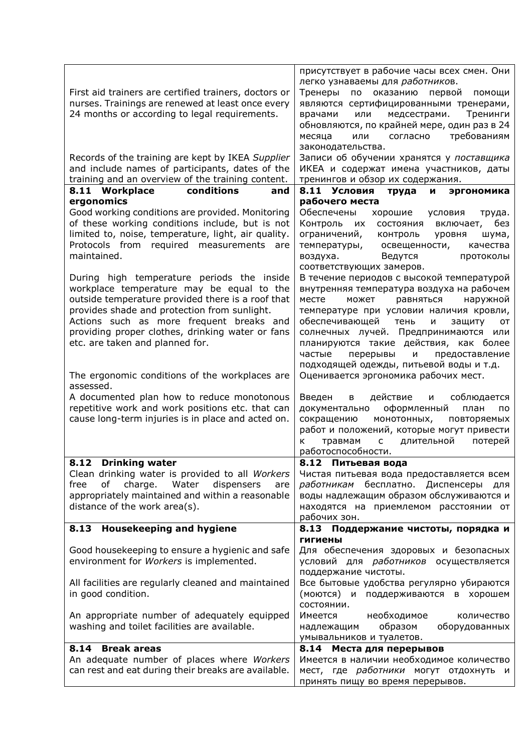| First aid trainers are certified trainers, doctors or<br>nurses. Trainings are renewed at least once every<br>24 months or according to legal requirements.                                                                                                                                                                                                                       | присутствует в рабочие часы всех смен. Они<br>легко узнаваемы для работников.<br>по оказанию первой<br>Тренеры<br>помощи<br>являются сертифицированными тренерами,<br>медсестрами.<br>Тренинги<br>врачами<br>или<br>обновляются, по крайней мере, один раз в 24<br>требованиям<br>месяца<br>или<br>согласно<br>законодательства.                                                                                                             |
|-----------------------------------------------------------------------------------------------------------------------------------------------------------------------------------------------------------------------------------------------------------------------------------------------------------------------------------------------------------------------------------|----------------------------------------------------------------------------------------------------------------------------------------------------------------------------------------------------------------------------------------------------------------------------------------------------------------------------------------------------------------------------------------------------------------------------------------------|
| Records of the training are kept by IKEA Supplier<br>and include names of participants, dates of the<br>training and an overview of the training content.                                                                                                                                                                                                                         | Записи об обучении хранятся у поставщика<br>ИКЕА и содержат имена участников, даты<br>тренингов и обзор их содержания.                                                                                                                                                                                                                                                                                                                       |
| 8.11 Workplace<br>conditions<br>and                                                                                                                                                                                                                                                                                                                                               | 8.11 Условия<br>труда<br>эргономика<br>И                                                                                                                                                                                                                                                                                                                                                                                                     |
| ergonomics                                                                                                                                                                                                                                                                                                                                                                        | рабочего места                                                                                                                                                                                                                                                                                                                                                                                                                               |
| Good working conditions are provided. Monitoring<br>of these working conditions include, but is not<br>limited to, noise, temperature, light, air quality.<br>Protocols from<br>required<br>measurements<br>are<br>maintained.                                                                                                                                                    | Обеспечены<br>хорошие<br>условия<br>труда.<br>Контроль<br>без<br>СОСТОЯНИЯ<br>их<br>включает,<br>ограничений,<br>контроль<br>уровня<br>шума,<br>температуры,<br>освещенности,<br>качества<br>Ведутся<br>воздуха.<br>протоколы<br>соответствующих замеров.                                                                                                                                                                                    |
| During high temperature periods the inside<br>workplace temperature may be equal to the<br>outside temperature provided there is a roof that<br>provides shade and protection from sunlight.<br>Actions such as more frequent breaks and<br>providing proper clothes, drinking water or fans<br>etc. are taken and planned for.<br>The ergonomic conditions of the workplaces are | В течение периодов с высокой температурой<br>внутренняя температура воздуха на рабочем<br>равняться<br>наружной<br>месте<br>может<br>температуре при условии наличия кровли,<br>обеспечивающей<br>тень<br>и<br>защиту<br>OТ<br>солнечных лучей. Предпринимаются или<br>планируются такие действия, как более<br>частые<br>перерывы<br>предоставление<br>И<br>подходящей одежды, питьевой воды и т.д.<br>Оценивается эргономика рабочих мест. |
| assessed.<br>A documented plan how to reduce monotonous<br>repetitive work and work positions etc. that can<br>cause long-term injuries is in place and acted on.                                                                                                                                                                                                                 | действие<br>Введен<br>И<br>соблюдается<br>в<br>оформленный<br>документально<br>план<br>по<br>сокращению<br>монотонных,<br>повторяемых<br>работ и положений, которые могут привести<br>травмам<br>потерей<br>длительной<br>$\mathsf{C}$<br>к<br>работоспособности.                                                                                                                                                                            |
| 8.12 Drinking water                                                                                                                                                                                                                                                                                                                                                               | 8.12 Питьевая вода                                                                                                                                                                                                                                                                                                                                                                                                                           |
| Clean drinking water is provided to all Workers<br>of<br>charge. Water<br>dispensers<br>free<br>are<br>appropriately maintained and within a reasonable<br>distance of the work area(s).                                                                                                                                                                                          | Чистая питьевая вода предоставляется всем<br>работникам бесплатно. Диспенсеры для<br>воды надлежащим образом обслуживаются и<br>находятся на приемлемом расстоянии от<br>рабочих зон.                                                                                                                                                                                                                                                        |
| 8.13 Housekeeping and hygiene                                                                                                                                                                                                                                                                                                                                                     | 8.13 Поддержание чистоты, порядка и                                                                                                                                                                                                                                                                                                                                                                                                          |
|                                                                                                                                                                                                                                                                                                                                                                                   | <b>ГИГИ</b> ены                                                                                                                                                                                                                                                                                                                                                                                                                              |
| Good housekeeping to ensure a hygienic and safe<br>environment for Workers is implemented.                                                                                                                                                                                                                                                                                        | Для обеспечения здоровых и безопасных<br>условий для работников осуществляется<br>поддержание чистоты.                                                                                                                                                                                                                                                                                                                                       |
| All facilities are regularly cleaned and maintained<br>in good condition.                                                                                                                                                                                                                                                                                                         | Все бытовые удобства регулярно убираются<br>(моются) и поддерживаются в хорошем<br>состоянии.                                                                                                                                                                                                                                                                                                                                                |
| An appropriate number of adequately equipped<br>washing and toilet facilities are available.                                                                                                                                                                                                                                                                                      | Имеется<br>необходимое<br>количество<br>образом<br>оборудованных<br>надлежащим<br>умывальников и туалетов.                                                                                                                                                                                                                                                                                                                                   |
| 8.14 Break areas                                                                                                                                                                                                                                                                                                                                                                  | 8.14 Места для перерывов                                                                                                                                                                                                                                                                                                                                                                                                                     |
| An adequate number of places where Workers                                                                                                                                                                                                                                                                                                                                        | Имеется в наличии необходимое количество                                                                                                                                                                                                                                                                                                                                                                                                     |
| can rest and eat during their breaks are available.                                                                                                                                                                                                                                                                                                                               | мест, где работники могут отдохнуть и                                                                                                                                                                                                                                                                                                                                                                                                        |
|                                                                                                                                                                                                                                                                                                                                                                                   | принять пищу во время перерывов.                                                                                                                                                                                                                                                                                                                                                                                                             |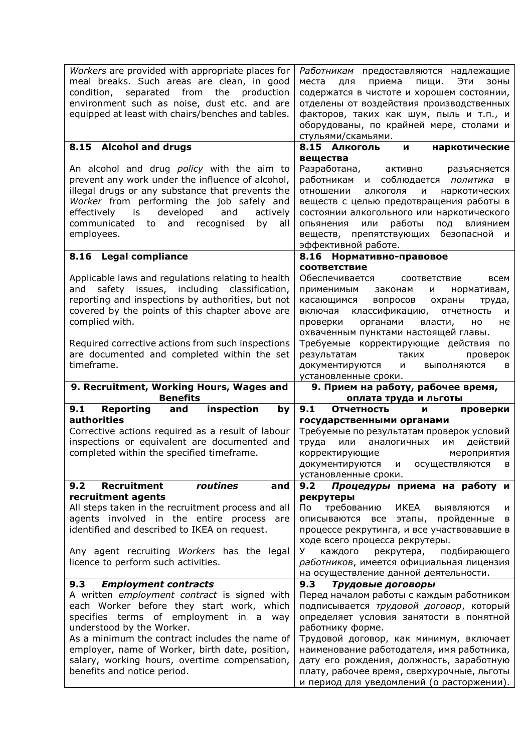| Workers are provided with appropriate places for<br>meal breaks. Such areas are clean, in good<br>condition, separated from the production<br>environment such as noise, dust etc. and are<br>equipped at least with chairs/benches and tables.                                                                                                   | Работникам предоставляются надлежащие<br>места<br>для<br>приема пищи.<br>Эти<br>ЗОНЫ<br>содержатся в чистоте и хорошем состоянии,<br>отделены от воздействия производственных<br>факторов, таких как шум, пыль и т.п., и<br>оборудованы, по крайней мере, столами и<br>стульями/скамьями.                                                                                                                                             |
|---------------------------------------------------------------------------------------------------------------------------------------------------------------------------------------------------------------------------------------------------------------------------------------------------------------------------------------------------|---------------------------------------------------------------------------------------------------------------------------------------------------------------------------------------------------------------------------------------------------------------------------------------------------------------------------------------------------------------------------------------------------------------------------------------|
| 8.15 Alcohol and drugs                                                                                                                                                                                                                                                                                                                            | 8.15 Алкоголь<br>наркотические<br>И<br>вещества                                                                                                                                                                                                                                                                                                                                                                                       |
| An alcohol and drug policy with the aim to<br>prevent any work under the influence of alcohol,<br>illegal drugs or any substance that prevents the<br>Worker from performing the job safely and<br>developed<br>effectively is<br>and<br>actively<br>communicated<br>recognised<br>and<br>to<br>by<br>all<br>employees.                           | Разработана, активно<br>разъясняется<br>работникам<br>и соблюдается политика<br>$\overline{B}$<br>алкоголя<br>наркотических<br>отношении<br>и<br>веществ с целью предотвращения работы в<br>состоянии алкогольного или наркотического<br>работы<br>опьянения<br>или<br>под<br>влиянием<br>веществ, препятствующих безопасной и<br>эффективной работе.                                                                                 |
| 8.16 Legal compliance                                                                                                                                                                                                                                                                                                                             | 8.16 Нормативно-правовое                                                                                                                                                                                                                                                                                                                                                                                                              |
| Applicable laws and regulations relating to health<br>safety issues, including classification,<br>and<br>reporting and inspections by authorities, but not<br>covered by the points of this chapter above are<br>complied with.<br>Required corrective actions from such inspections<br>are documented and completed within the set<br>timeframe. | соответствие<br>Обеспечивается соответствие<br>всем<br>применимым<br>законам<br>и<br>нормативам,<br>касающимся<br>вопросов<br>охраны<br>труда,<br>включая классификацию,<br>отчетность<br>и<br>органами<br>проверки<br>власти,<br>HO<br>не<br>охваченным пунктами настоящей главы.<br>Требуемые корректирующие действия<br>по<br>результатам<br>таких<br>проверок<br>документируются<br>И<br>ВЫПОЛНЯЮТСЯ<br>в<br>установленные сроки. |
|                                                                                                                                                                                                                                                                                                                                                   |                                                                                                                                                                                                                                                                                                                                                                                                                                       |
| 9. Recruitment, Working Hours, Wages and                                                                                                                                                                                                                                                                                                          | 9. Прием на работу, рабочее время,                                                                                                                                                                                                                                                                                                                                                                                                    |
| <b>Benefits</b>                                                                                                                                                                                                                                                                                                                                   | оплата труда и льготы                                                                                                                                                                                                                                                                                                                                                                                                                 |
| 9.1<br>Reporting<br>inspection<br>and<br>by<br><b>authorities</b><br>Corrective actions required as a result of labour<br>inspections or equivalent are documented and<br>completed within the specified timeframe.                                                                                                                               | 9.1<br>Отчетность<br>проверки<br>и<br>государственными органами<br>Требуемые по результатам проверок условий<br>им действий<br>или аналогичных<br>труда<br>мероприятия<br>корректирующие<br>документируются и осуществляются в                                                                                                                                                                                                        |
| Recruitment<br>routines<br>9.2<br>and                                                                                                                                                                                                                                                                                                             | установленные сроки.<br>Процедуры приема на работу и<br>9.2                                                                                                                                                                                                                                                                                                                                                                           |
| recruitment agents<br>All steps taken in the recruitment process and all<br>agents involved in the entire process are<br>identified and described to IKEA on request.<br>Any agent recruiting Workers has the legal<br>licence to perform such activities.                                                                                        | рекрутеры<br>Пo<br>требованию<br>ИКЕА<br><b>ВЫЯВЛЯЮТСЯ</b><br>и<br>пройденные<br>описываются все этапы,<br>в<br>процессе рекрутинга, и все участвовавшие в<br>ходе всего процесса рекрутеры.<br>подбирающего<br>У<br>каждого<br>рекрутера,<br>работников, имеется официальная лицензия                                                                                                                                                |
| 9.3<br><b>Employment contracts</b>                                                                                                                                                                                                                                                                                                                | на осуществление данной деятельности.<br>9.3<br>Трудовые договоры                                                                                                                                                                                                                                                                                                                                                                     |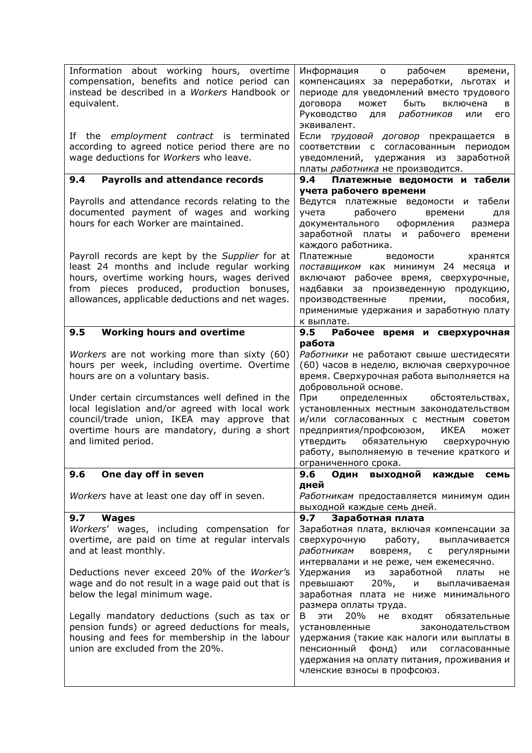| Information about working hours, overtime<br>compensation, benefits and notice period can<br>instead be described in a Workers Handbook or<br>equivalent.                                                                                                                                                                                                  | рабочем<br>Информация о<br>времени,<br>компенсациях за переработки, льготах и<br>периоде для уведомлений вместо трудового<br>может быть<br>договора<br>включена<br>в<br>Руководство<br>работников<br>для<br>или<br>его<br>эквивалент.                                                                                                                                                                                       |
|------------------------------------------------------------------------------------------------------------------------------------------------------------------------------------------------------------------------------------------------------------------------------------------------------------------------------------------------------------|-----------------------------------------------------------------------------------------------------------------------------------------------------------------------------------------------------------------------------------------------------------------------------------------------------------------------------------------------------------------------------------------------------------------------------|
| If the <i>employment</i> contract is terminated<br>according to agreed notice period there are no<br>wage deductions for Workers who leave.                                                                                                                                                                                                                | Если трудовой договор прекращается в<br>соответствии с согласованным периодом<br>уведомлений, удержания из заработной<br>платы работника не производится.                                                                                                                                                                                                                                                                   |
| <b>Payrolls and attendance records</b><br>9.4                                                                                                                                                                                                                                                                                                              | 9.4<br>Платежные ведомости и табели<br>учета рабочего времени                                                                                                                                                                                                                                                                                                                                                               |
| Payrolls and attendance records relating to the<br>documented payment of wages and working<br>hours for each Worker are maintained.                                                                                                                                                                                                                        | Ведутся платежные ведомости и табели<br>рабочего<br>учета<br>времени<br>для<br>документального оформления<br>размера<br>заработной платы и рабочего<br>времени<br>каждого работника.                                                                                                                                                                                                                                        |
| Payroll records are kept by the Supplier for at<br>least 24 months and include regular working<br>hours, overtime working hours, wages derived<br>from pieces produced, production bonuses,<br>allowances, applicable deductions and net wages.                                                                                                            | Платежные<br>ведомости<br>хранятся<br>поставщиком как минимум 24 месяца и<br>включают рабочее время, сверхурочные,<br>за произведенную продукцию,<br>надбавки<br>пособия,<br>производственные<br>премии,<br>применимые удержания и заработную плату<br>к выплате.                                                                                                                                                           |
| <b>Working hours and overtime</b><br>9.5                                                                                                                                                                                                                                                                                                                   | 9.5<br>Рабочее время и сверхурочная                                                                                                                                                                                                                                                                                                                                                                                         |
| Workers are not working more than sixty (60)<br>hours per week, including overtime. Overtime<br>hours are on a voluntary basis.<br>Under certain circumstances well defined in the<br>local legislation and/or agreed with local work<br>council/trade union, IKEA may approve that<br>overtime hours are mandatory, during a short<br>and limited period. | работа<br>Работники не работают свыше шестидесяти<br>(60) часов в неделю, включая сверхурочное<br>время. Сверхурочная работа выполняется на<br>добровольной основе.<br>При<br>определенных обстоятельствах,<br>установленных местным законодательством<br>и/или согласованных с местным советом<br>предприятия/профсоюзом, ИКЕА<br>может<br>утвердить обязательную сверхурочную<br>работу, выполняемую в течение краткого и |
| One day off in seven<br>9.6                                                                                                                                                                                                                                                                                                                                | ограниченного срока.<br>9.6<br>Один<br>выходной<br>каждые<br>семь                                                                                                                                                                                                                                                                                                                                                           |
| Workers have at least one day off in seven.                                                                                                                                                                                                                                                                                                                | дней<br>Работникам предоставляется минимум один<br>выходной каждые семь дней.                                                                                                                                                                                                                                                                                                                                               |
| 9.7<br><b>Wages</b><br>Workers' wages, including compensation for<br>overtime, are paid on time at regular intervals<br>and at least monthly.                                                                                                                                                                                                              | 9.7<br>Заработная плата<br>Заработная плата, включая компенсации за<br>работу,<br>сверхурочную<br>выплачивается<br>работникам<br>вовремя,<br>$\mathsf{C}$<br>регулярными<br>интервалами и не реже, чем ежемесячно.                                                                                                                                                                                                          |
| Deductions never exceed 20% of the Worker's<br>wage and do not result in a wage paid out that is<br>below the legal minimum wage.                                                                                                                                                                                                                          | Удержания<br>заработной<br>из<br>платы<br>не<br>$20\%$ ,<br>превышают<br>и<br>выплачиваемая<br>заработная плата не ниже минимального<br>размера оплаты труда.                                                                                                                                                                                                                                                               |
| Legally mandatory deductions (such as tax or<br>pension funds) or agreed deductions for meals,<br>housing and fees for membership in the labour<br>union are excluded from the 20%.                                                                                                                                                                        | 20%<br>ЭТИ<br>В<br>не<br>входят<br>обязательные<br>установленные<br>законодательством<br>удержания (такие как налоги или выплаты в<br>пенсионный<br>фонд)<br>или<br>согласованные<br>удержания на оплату питания, проживания и<br>членские взносы в профсоюз.                                                                                                                                                               |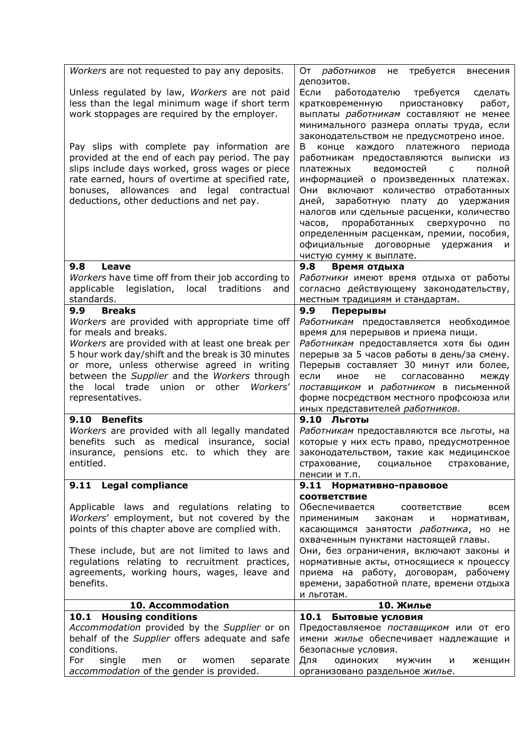| Workers are not requested to pay any deposits.                                                   | требуется<br>От <i>работников</i><br>не<br>внесения                                   |
|--------------------------------------------------------------------------------------------------|---------------------------------------------------------------------------------------|
|                                                                                                  | депозитов.                                                                            |
| Unless regulated by law, Workers are not paid                                                    | Если<br>работодателю<br>требуется<br>сделать                                          |
| less than the legal minimum wage if short term                                                   | работ,<br>кратковременную<br>приостановку                                             |
| work stoppages are required by the employer.                                                     | выплаты работникам составляют не менее                                                |
|                                                                                                  | минимального размера оплаты труда, если                                               |
| Pay slips with complete pay information are                                                      | законодательством не предусмотрено иное.<br>B                                         |
| provided at the end of each pay period. The pay                                                  | каждого платежного<br>конце<br>периода<br>работникам предоставляются выписки из       |
| slips include days worked, gross wages or piece                                                  | ведомостей<br>платежных<br>$\overline{C}$<br>полной                                   |
| rate earned, hours of overtime at specified rate,                                                | информацией о произведенных платежах.                                                 |
| bonuses, allowances and legal contractual                                                        | Они включают количество отработанных                                                  |
| deductions, other deductions and net pay.                                                        | дней, заработную плату до удержания                                                   |
|                                                                                                  | налогов или сдельные расценки, количество                                             |
|                                                                                                  | проработанных сверхурочно<br>часов,<br>по                                             |
|                                                                                                  | определенным расценкам, премии, пособия,                                              |
|                                                                                                  | официальные договорные удержания<br>и                                                 |
| 9.8<br>Leave                                                                                     | чистую сумму к выплате.<br>9.8                                                        |
| Workers have time off from their job according to                                                | Время отдыха<br>Работники имеют время отдыха от работы                                |
| legislation,<br>applicable<br>local<br>traditions<br>and                                         | согласно действующему законодательству,                                               |
| standards.                                                                                       | местным традициям и стандартам.                                                       |
| <b>Breaks</b><br>9.9                                                                             | 9.9<br>Перерывы                                                                       |
| Workers are provided with appropriate time off                                                   | Работникам предоставляется необходимое                                                |
| for meals and breaks.                                                                            | время для перерывов и приема пищи.                                                    |
| Workers are provided with at least one break per                                                 | Работникам предоставляется хотя бы один                                               |
| 5 hour work day/shift and the break is 30 minutes                                                | перерыв за 5 часов работы в день/за смену.                                            |
| or more, unless otherwise agreed in writing<br>between the Supplier and the Workers through      | Перерыв составляет 30 минут или более,<br>если<br>согласованно<br>иное<br>не<br>между |
| the local trade union<br>or other<br>Workers'                                                    | поставщиком и работником в письменной                                                 |
| representatives.                                                                                 | форме посредством местного профсоюза или                                              |
|                                                                                                  | иных представителей работников.                                                       |
| 9.10 Benefits                                                                                    | 9.10 Льготы                                                                           |
| Workers are provided with all legally mandated                                                   | Работникам предоставляются все льготы, на                                             |
| benefits such as medical insurance, social                                                       | которые у них есть право, предусмотренное                                             |
| insurance, pensions etc. to which they are                                                       | законодательством, такие как медицинское                                              |
| entitled.                                                                                        | страхование, социальное страхование,<br>пенсии и т.п.                                 |
| 9.11 Legal compliance                                                                            | 9.11 Нормативно-правовое                                                              |
|                                                                                                  | <b>СООТВЕТСТВИЕ</b>                                                                   |
| Applicable laws and regulations relating to                                                      | Обеспечивается<br>всем<br>соответствие                                                |
| Workers' employment, but not covered by the                                                      | применимым<br>нормативам,<br>законам<br>И                                             |
| points of this chapter above are complied with.                                                  | касающимся занятости работника, но не                                                 |
|                                                                                                  | охваченным пунктами настоящей главы.                                                  |
| These include, but are not limited to laws and<br>regulations relating to recruitment practices, | Они, без ограничения, включают законы и                                               |
| agreements, working hours, wages, leave and                                                      | нормативные акты, относящиеся к процессу<br>приема на работу, договорам, рабочему     |
| benefits.                                                                                        | времени, заработной плате, времени отдыха                                             |
|                                                                                                  | и льготам.                                                                            |
| 10. Accommodation                                                                                | 10. Жилье                                                                             |
| 10.1 Housing conditions                                                                          | 10.1<br>Бытовые условия                                                               |
| Accommodation provided by the Supplier or on                                                     | Предоставляемое поставщиком или от его                                                |
| behalf of the Supplier offers adequate and safe<br>conditions.                                   | имени жилье обеспечивает надлежащие и<br>безопасные условия.                          |
| single<br>For<br>separate<br>men<br>or<br>women                                                  | Для<br>одиноких<br>мужчин<br>и<br>женщин                                              |
| accommodation of the gender is provided.                                                         | организовано раздельное жилье.                                                        |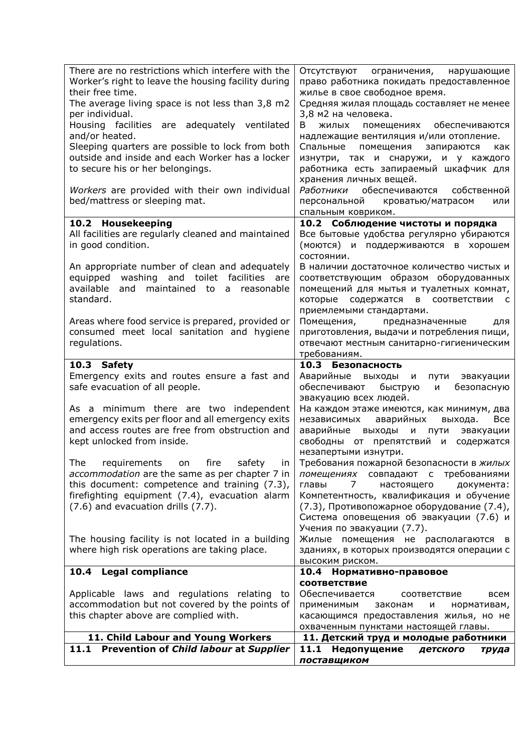| There are no restrictions which interfere with the<br>Worker's right to leave the housing facility during<br>their free time.<br>The average living space is not less than 3,8 m2<br>per individual.<br>Housing facilities are adequately ventilated<br>and/or heated.<br>Sleeping quarters are possible to lock from both<br>outside and inside and each Worker has a locker<br>to secure his or her belongings. | Отсутствуют ограничения, нарушающие<br>право работника покидать предоставленное<br>жилье в свое свободное время.<br>Средняя жилая площадь составляет не менее<br>3,8 м2 на человека.<br>жилых помещениях обеспечиваются<br>В<br>надлежащие вентиляция и/или отопление.<br>Спальные помещения<br>запираются<br>как<br>изнутри, так и снаружи, и у каждого<br>работника есть запираемый шкафчик для |
|-------------------------------------------------------------------------------------------------------------------------------------------------------------------------------------------------------------------------------------------------------------------------------------------------------------------------------------------------------------------------------------------------------------------|---------------------------------------------------------------------------------------------------------------------------------------------------------------------------------------------------------------------------------------------------------------------------------------------------------------------------------------------------------------------------------------------------|
| Workers are provided with their own individual<br>bed/mattress or sleeping mat.                                                                                                                                                                                                                                                                                                                                   | хранения личных вещей.<br>Работники обеспечиваются собственной<br>персональной кроватью/матрасом<br>или<br>спальным ковриком.                                                                                                                                                                                                                                                                     |
| 10.2 Housekeeping                                                                                                                                                                                                                                                                                                                                                                                                 | 10.2 Соблюдение чистоты и порядка                                                                                                                                                                                                                                                                                                                                                                 |
| All facilities are regularly cleaned and maintained<br>in good condition.                                                                                                                                                                                                                                                                                                                                         | Все бытовые удобства регулярно убираются<br>(моются) и поддерживаются в хорошем<br>состоянии.                                                                                                                                                                                                                                                                                                     |
| An appropriate number of clean and adequately<br>equipped washing and toilet facilities are<br>available<br>maintained to a<br>and<br>reasonable<br>standard.                                                                                                                                                                                                                                                     | В наличии достаточное количество чистых и<br>соответствующим образом оборудованных<br>помещений для мытья и туалетных комнат,<br>содержатся в соответствии<br>которые<br>- C<br>приемлемыми стандартами.                                                                                                                                                                                          |
| Areas where food service is prepared, provided or<br>consumed meet local sanitation and hygiene<br>regulations.                                                                                                                                                                                                                                                                                                   | Помещения,<br>предназначенные<br>ДЛЯ<br>приготовления, выдачи и потребления пищи,<br>отвечают местным санитарно-гигиеническим<br>требованиям.                                                                                                                                                                                                                                                     |
| 10.3 Safety                                                                                                                                                                                                                                                                                                                                                                                                       | 10.3 Безопасность                                                                                                                                                                                                                                                                                                                                                                                 |
| Emergency exits and routes ensure a fast and<br>safe evacuation of all people.                                                                                                                                                                                                                                                                                                                                    | Аварийные выходы<br>эвакуации<br>и<br>пути<br>обеспечивают<br>быструю<br>безопасную<br>и<br>эвакуацию всех людей.                                                                                                                                                                                                                                                                                 |
| As a minimum there are two independent<br>emergency exits per floor and all emergency exits<br>and access routes are free from obstruction and<br>kept unlocked from inside.                                                                                                                                                                                                                                      | На каждом этаже имеются, как минимум, два<br>независимых<br>аварийных<br>выхода.<br><b>Bce</b><br>аварийные<br>выходы<br>И<br>пути<br>эвакуации<br>свободны от препятствий и содержатся<br>незапертыми изнутри.                                                                                                                                                                                   |
| The<br>requirements on fire<br>safety<br>in<br>accommodation are the same as per chapter 7 in<br>this document: competence and training (7.3),<br>firefighting equipment (7.4), evacuation alarm<br>(7.6) and evacuation drills (7.7).                                                                                                                                                                            | Требования пожарной безопасности в жилых<br>помещениях совпадают с требованиями<br>$\overline{7}$<br>документа:<br>главы<br>настоящего<br>Компетентность, квалификация и обучение<br>(7.3), Противопожарное оборудование (7.4),<br>Система оповещения об эвакуации (7.6) и                                                                                                                        |
| The housing facility is not located in a building<br>where high risk operations are taking place.                                                                                                                                                                                                                                                                                                                 | Учения по эвакуации (7.7).<br>Жилые помещения не располагаются в<br>зданиях, в которых производятся операции с<br>высоким риском.                                                                                                                                                                                                                                                                 |
| 10.4 Legal compliance                                                                                                                                                                                                                                                                                                                                                                                             | 10.4 Нормативно-правовое                                                                                                                                                                                                                                                                                                                                                                          |
| Applicable laws and regulations relating to<br>accommodation but not covered by the points of<br>this chapter above are complied with.                                                                                                                                                                                                                                                                            | соответствие<br>Обеспечивается<br>всем<br>соответствие<br>применимым<br>нормативам,<br>законам<br>и<br>касающимся предоставления жилья, но не<br>охваченным пунктами настоящей главы.                                                                                                                                                                                                             |
| 11. Child Labour and Young Workers                                                                                                                                                                                                                                                                                                                                                                                | 11. Детский труд и молодые работники                                                                                                                                                                                                                                                                                                                                                              |
| 11.1 Prevention of Child labour at Supplier                                                                                                                                                                                                                                                                                                                                                                       | 11.1<br>Недопущение<br>детского<br>труда<br>поставщиком                                                                                                                                                                                                                                                                                                                                           |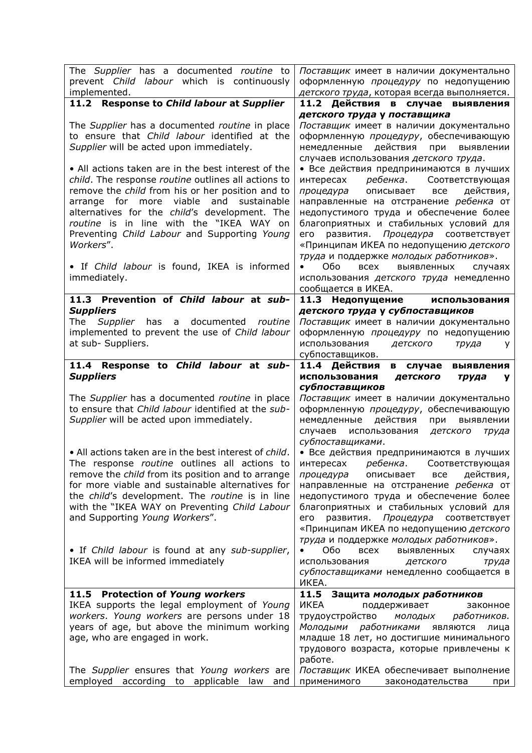| The Supplier has a documented routine to<br>prevent Child labour which is continuously<br>implemented.                                                                                                                                                                                                                                                | Поставщик имеет в наличии документально<br>оформленную процедуру по недопущению<br>детского труда, которая всегда выполняется.                                                                                                                                                                                                                                        |
|-------------------------------------------------------------------------------------------------------------------------------------------------------------------------------------------------------------------------------------------------------------------------------------------------------------------------------------------------------|-----------------------------------------------------------------------------------------------------------------------------------------------------------------------------------------------------------------------------------------------------------------------------------------------------------------------------------------------------------------------|
| 11.2 Response to Child labour at Supplier                                                                                                                                                                                                                                                                                                             | 11.2 Действия в случае выявления                                                                                                                                                                                                                                                                                                                                      |
| The Supplier has a documented routine in place<br>to ensure that Child labour identified at the<br>Supplier will be acted upon immediately.<br>• All actions taken are in the best interest of the                                                                                                                                                    | детского труда у поставщика<br>Поставщик имеет в наличии документально<br>оформленную процедуру, обеспечивающую<br>действия<br>немедленные<br>при<br>выявлении<br>случаев использования детского труда.<br>• Все действия предпринимаются в лучших                                                                                                                    |
| child. The response routine outlines all actions to<br>remove the child from his or her position and to<br>arrange for more viable and<br>sustainable<br>alternatives for the child's development. The<br>routine is in line with the "IKEA WAY on<br>Preventing Child Labour and Supporting Young<br>Workers".                                       | ребенка. Соответствующая<br>интересах<br>процедура<br>описывает<br>все<br>действия,<br>направленные на отстранение ребенка от<br>недопустимого труда и обеспечение более<br>благоприятных и стабильных условий для<br>развития. Процедура соответствует<br>его<br>«Принципам ИКЕА по недопущению детского<br>труда и поддержке молодых работников».                   |
| • If Child labour is found, IKEA is informed<br>immediately.                                                                                                                                                                                                                                                                                          | Обо<br><b>BCEX</b><br>выявленных<br>случаях<br>использования детского труда немедленно<br>сообщается в ИКЕА.                                                                                                                                                                                                                                                          |
| 11.3 Prevention of Child labour at sub-                                                                                                                                                                                                                                                                                                               | 11.3 Недопущение<br>использования                                                                                                                                                                                                                                                                                                                                     |
| <b>Suppliers</b><br>has<br>a documented routine<br>The<br>Supplier<br>implemented to prevent the use of Child labour<br>at sub- Suppliers.                                                                                                                                                                                                            | детского труда у субпоставщиков<br>Поставщик имеет в наличии документально<br>оформленную процедуру по недопущению<br>использования<br>детского<br>труда<br>y<br>субпоставщиков.                                                                                                                                                                                      |
| 11.4 Response to Child labour at sub-<br><b>Suppliers</b>                                                                                                                                                                                                                                                                                             | 11.4 Действия<br>в случае выявления<br>использования<br>детского<br>труда<br>v                                                                                                                                                                                                                                                                                        |
| The Supplier has a documented routine in place<br>to ensure that Child labour identified at the sub-<br>Supplier will be acted upon immediately.                                                                                                                                                                                                      | субпоставщиков<br>Поставщик имеет в наличии документально<br>оформленную процедуру, обеспечивающую<br>немедленные<br>действия<br>выявлении<br>при                                                                                                                                                                                                                     |
|                                                                                                                                                                                                                                                                                                                                                       | случаев<br>использования<br>детского<br>труда                                                                                                                                                                                                                                                                                                                         |
| • All actions taken are in the best interest of child.<br>The response routine outlines all actions to<br>remove the child from its position and to arrange<br>for more viable and sustainable alternatives for<br>the child's development. The routine is in line<br>with the "IKEA WAY on Preventing Child Labour<br>and Supporting Young Workers". | субпоставщиками.<br>• Все действия предпринимаются в лучших<br>интересах ребенка. Соответствующая<br>действия,<br>процедура<br>описывает<br>все<br>направленные на отстранение ребенка от<br>недопустимого труда и обеспечение более<br>благоприятных и стабильных условий для<br>развития. Процедура соответствует<br>его<br>«Принципам ИКЕА по недопущению детского |
| • If Child labour is found at any sub-supplier,<br>IKEA will be informed immediately                                                                                                                                                                                                                                                                  | труда и поддержке молодых работников».<br>Обо<br><b>BCEX</b><br>выявленных<br>случаях<br>использования<br>детского<br>труда<br>сублоставщиками немедленно сообщается в<br>ИКЕА.                                                                                                                                                                                       |
| 11.5 Protection of Young workers<br>IKEA supports the legal employment of Young<br>workers. Young workers are persons under 18<br>years of age, but above the minimum working<br>age, who are engaged in work.<br>The Supplier ensures that Young workers are<br>employed according to applicable law<br>and                                          | 11.5 Защита молодых работников<br>ИКЕА<br>поддерживает<br>законное<br>работников.<br>трудоустройство<br>МОЛОДЫХ<br>Молодыми работниками<br>ЯВЛЯЮТСЯ<br>лица<br>младше 18 лет, но достигшие минимального<br>трудового возраста, которые привлечены к<br>работе.<br>Поставщик ИКЕА обеспечивает выполнение<br>применимого<br>законодательства                           |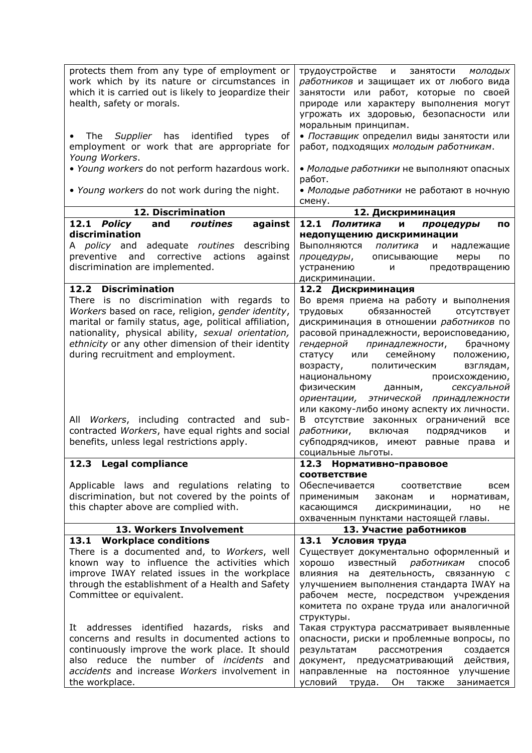| protects them from any type of employment or<br>work which by its nature or circumstances in<br>which it is carried out is likely to jeopardize their<br>health, safety or morals.                                                                                                                                                                                                                                                                                                                                                                                                                                                                        | трудоустройстве и<br>занятости<br>МОЛОДЫХ<br>работников и защищает их от любого вида<br>занятости или работ, которые по своей<br>природе или характеру выполнения могут<br>угрожать их здоровью, безопасности или<br>моральным принципам.                                                                                                                                                                                                                                                                                                                                                                                                                                                                                                                                                                                                                 |
|-----------------------------------------------------------------------------------------------------------------------------------------------------------------------------------------------------------------------------------------------------------------------------------------------------------------------------------------------------------------------------------------------------------------------------------------------------------------------------------------------------------------------------------------------------------------------------------------------------------------------------------------------------------|-----------------------------------------------------------------------------------------------------------------------------------------------------------------------------------------------------------------------------------------------------------------------------------------------------------------------------------------------------------------------------------------------------------------------------------------------------------------------------------------------------------------------------------------------------------------------------------------------------------------------------------------------------------------------------------------------------------------------------------------------------------------------------------------------------------------------------------------------------------|
| The Supplier has identified<br>types<br>οf<br>employment or work that are appropriate for<br>Young Workers.                                                                                                                                                                                                                                                                                                                                                                                                                                                                                                                                               | • Поставщик определил виды занятости или<br>работ, подходящих молодым работникам.                                                                                                                                                                                                                                                                                                                                                                                                                                                                                                                                                                                                                                                                                                                                                                         |
| . Young workers do not perform hazardous work.<br>. Young workers do not work during the night.                                                                                                                                                                                                                                                                                                                                                                                                                                                                                                                                                           | • Молодые работники не выполняют опасных<br>работ.<br>• Молодые работники не работают в ночную                                                                                                                                                                                                                                                                                                                                                                                                                                                                                                                                                                                                                                                                                                                                                            |
| 12. Discrimination                                                                                                                                                                                                                                                                                                                                                                                                                                                                                                                                                                                                                                        | смену.                                                                                                                                                                                                                                                                                                                                                                                                                                                                                                                                                                                                                                                                                                                                                                                                                                                    |
|                                                                                                                                                                                                                                                                                                                                                                                                                                                                                                                                                                                                                                                           | 12. Дискриминация                                                                                                                                                                                                                                                                                                                                                                                                                                                                                                                                                                                                                                                                                                                                                                                                                                         |
| against<br>12.1 Policy<br>and<br>routines<br>discrimination<br>adequate routines describing<br>A <i>policy</i> and                                                                                                                                                                                                                                                                                                                                                                                                                                                                                                                                        | 12.1 Политика<br>И<br>процедуры<br>по<br>недопущению дискриминации<br>Выполняются<br>политика<br>и<br>надлежащие                                                                                                                                                                                                                                                                                                                                                                                                                                                                                                                                                                                                                                                                                                                                          |
| preventive<br>and<br>corrective<br>actions<br>against<br>discrimination are implemented.                                                                                                                                                                                                                                                                                                                                                                                                                                                                                                                                                                  | процедуры,<br>описывающие<br>меры<br>по<br>устранению<br>предотвращению<br>и<br>дискриминации.                                                                                                                                                                                                                                                                                                                                                                                                                                                                                                                                                                                                                                                                                                                                                            |
| 12.2 Discrimination<br>There is no discrimination with regards to<br>Workers based on race, religion, gender identity,<br>marital or family status, age, political affiliation,<br>nationality, physical ability, sexual orientation,<br>ethnicity or any other dimension of their identity<br>during recruitment and employment.<br>All<br>Workers, including contracted and sub-<br>contracted Workers, have equal rights and social<br>benefits, unless legal restrictions apply.<br>12.3 Legal compliance<br>Applicable laws and regulations relating to<br>discrimination, but not covered by the points of<br>this chapter above are complied with. | 12.2 Дискриминация<br>Во время приема на работу и выполнения<br>обязанностей<br>трудовых<br>отсутствует<br>дискриминация в отношении работников по<br>расовой принадлежности, вероисповеданию,<br>гендерной<br>принадлежности,<br>брачному<br>семейному<br>статусу<br>положению,<br>или<br>возрасту,<br>взглядам,<br>политическим<br>происхождению,<br>национальному<br>сексуальной<br>физическим<br>данным,<br>этнической<br>принадлежности<br>ориентации,<br>или какому-либо иному аспекту их личности.<br>В отсутствие законных ограничений все<br>работники,<br>подрядчиков<br>включая<br>и<br>субподрядчиков, имеют<br>равные права<br>и<br>социальные льготы.<br>12.3 Нормативно-правовое<br><b>СООТВЕТСТВИЕ</b><br>Обеспечивается<br>соответствие<br>всем<br>применимым<br>законам<br>и<br>нормативам,<br>касающимся<br>дискриминации,<br>HO<br>не |
|                                                                                                                                                                                                                                                                                                                                                                                                                                                                                                                                                                                                                                                           | охваченным пунктами настоящей главы.                                                                                                                                                                                                                                                                                                                                                                                                                                                                                                                                                                                                                                                                                                                                                                                                                      |
| 13. Workers Involvement<br>13.1 Workplace conditions                                                                                                                                                                                                                                                                                                                                                                                                                                                                                                                                                                                                      | 13. Участие работников<br>13.1 Условия труда                                                                                                                                                                                                                                                                                                                                                                                                                                                                                                                                                                                                                                                                                                                                                                                                              |
| There is a documented and, to Workers, well<br>known way to influence the activities which<br>improve IWAY related issues in the workplace<br>through the establishment of a Health and Safety<br>Committee or equivalent.<br>It addresses identified hazards, risks and<br>concerns and results in documented actions to<br>continuously improve the work place. It should<br>also reduce the number of <i>incidents</i> and<br>accidents and increase Workers involvement in<br>the workplace.                                                                                                                                                          | Существует документально оформленный и<br>хорошо<br>известный работникам<br>способ<br>влияния<br>на деятельность, связанную с<br>улучшением выполнения стандарта IWAY на<br>рабочем месте, посредством учреждения<br>комитета по охране труда или аналогичной<br>структуры.<br>Такая структура рассматривает выявленные<br>опасности, риски и проблемные вопросы, по<br>создается<br>результатам<br>рассмотрения<br>документ, предусматривающий<br>действия,<br>направленные на постоянное улучшение<br>условий<br>Он<br>занимается<br>труда.<br>также                                                                                                                                                                                                                                                                                                    |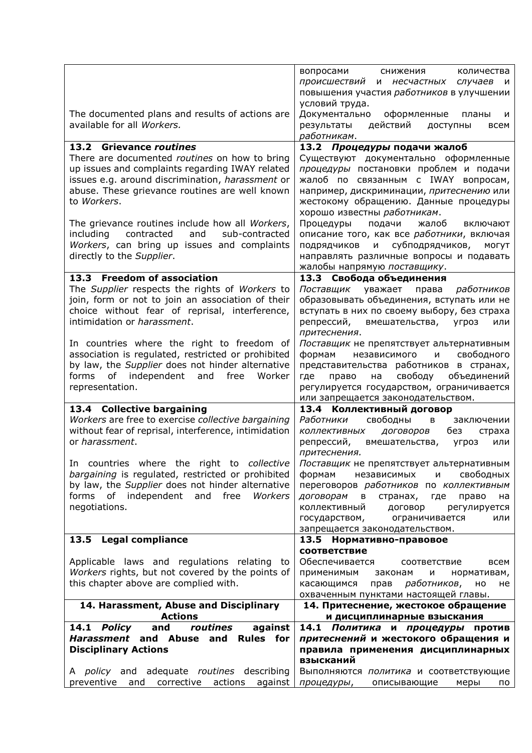|                                                                                                              | вопросами<br>снижения<br>количества<br>происшествий<br>и несчастных случаев<br>$\mathsf{M}$   |
|--------------------------------------------------------------------------------------------------------------|-----------------------------------------------------------------------------------------------|
|                                                                                                              | повышения участия работников в улучшении                                                      |
|                                                                                                              | условий труда.                                                                                |
| The documented plans and results of actions are<br>available for all Workers.                                | Документально<br>оформленные<br>планы<br>и                                                    |
|                                                                                                              | действий<br>результаты<br>доступны<br>всем<br>работникам.                                     |
| 13.2 Grievance routines                                                                                      | 13.2 Процедуры подачи жалоб                                                                   |
| There are documented routines on how to bring                                                                | Существуют документально оформленные                                                          |
| up issues and complaints regarding IWAY related                                                              | процедуры постановки проблем и подачи                                                         |
| issues e.g. around discrimination, harassment or<br>abuse. These grievance routines are well known           | жалоб по связанным с IWAY вопросам,<br>например, дискриминации, притеснению или               |
| to Workers.                                                                                                  | жестокому обращению. Данные процедуры                                                         |
|                                                                                                              | хорошо известны работникам.                                                                   |
| The grievance routines include how all Workers,                                                              | Процедуры<br>жалоб<br>подачи<br>включают                                                      |
| contracted<br>and<br>including<br>sub-contracted<br>Workers, can bring up issues and complaints              | описание того, как все работники, включая<br>и субподрядчиков,<br><b>МОГУТ</b><br>подрядчиков |
| directly to the Supplier.                                                                                    | направлять различные вопросы и подавать                                                       |
|                                                                                                              | жалобы напрямую поставщику.                                                                   |
| 13.3 Freedom of association                                                                                  | 13.3 Свобода объединения                                                                      |
| The Supplier respects the rights of Workers to                                                               | работников<br>Поставщик<br>уважает<br>права                                                   |
| join, form or not to join an association of their<br>choice without fear of reprisal, interference,          | образовывать объединения, вступать или не<br>вступать в них по своему выбору, без страха      |
| intimidation or harassment.                                                                                  | репрессий,<br>вмешательства, угроз<br>или                                                     |
|                                                                                                              | притеснения.                                                                                  |
| In countries where the right to freedom of                                                                   | Поставщик не препятствует альтернативным                                                      |
| association is regulated, restricted or prohibited<br>by law, the Supplier does not hinder alternative       | формам<br>свободного<br>независимого<br>M<br>представительства работников в странах,          |
| forms of independent<br>and<br>free<br>Worker                                                                | свободу<br>объединений<br>где<br>право<br>на                                                  |
| representation.                                                                                              | регулируется государством, ограничивается                                                     |
|                                                                                                              | или запрещается законодательством.                                                            |
| 13.4 Collective bargaining<br>Workers are free to exercise collective bargaining                             | 13.4 Коллективный договор<br>Работники<br>свободны<br>B<br>заключении                         |
| without fear of reprisal, interference, intimidation                                                         | коллективных<br>договоров<br>без<br>страха                                                    |
| or harassment.                                                                                               | репрессий,<br>вмешательства, угроз<br>или                                                     |
|                                                                                                              | притеснения.                                                                                  |
| In countries where the right to collective<br>bargaining is regulated, restricted or prohibited              | Поставщик не препятствует альтернативным<br>свободных<br>формам<br>независимых<br>M           |
| by law, the Supplier does not hinder alternative                                                             | переговоров работников по коллективным                                                        |
|                                                                                                              |                                                                                               |
| forms of independent and free Workers                                                                        | договорам<br>в странах, где<br>право<br>на                                                    |
| negotiations.                                                                                                | коллективный<br>договор<br>регулируется                                                       |
|                                                                                                              | государством, ограничивается<br>или                                                           |
| 13.5 Legal compliance                                                                                        | запрещается законодательством.<br>13.5 Нормативно-правовое                                    |
|                                                                                                              | соответствие                                                                                  |
| Applicable laws and regulations relating to                                                                  | Обеспечивается<br>соответствие<br>всем                                                        |
| Workers rights, but not covered by the points of                                                             | применимым<br>нормативам,<br>законам<br>и                                                     |
| this chapter above are complied with.                                                                        | касающимся<br>прав <i>работников</i> ,<br>HO<br>не                                            |
| 14. Harassment, Abuse and Disciplinary                                                                       | охваченным пунктами настоящей главы.<br>14. Притеснение, жестокое обращение                   |
| <b>Actions</b>                                                                                               | и дисциплинарные взыскания                                                                    |
| 14.1 Policy<br>routines<br>against<br>and                                                                    | 14.1 Политика<br>и процедуры против                                                           |
| Harassment and Abuse and<br><b>Rules</b> for<br><b>Disciplinary Actions</b>                                  | притеснений и жестокого обращения и<br>правила применения дисциплинарных                      |
|                                                                                                              | взысканий                                                                                     |
| adequate routines describing<br>A <i>policy</i> and<br>preventive<br>corrective<br>actions<br>against<br>and | Выполняются политика и соответствующие<br>процедуры,<br>описывающие<br>меры<br>по             |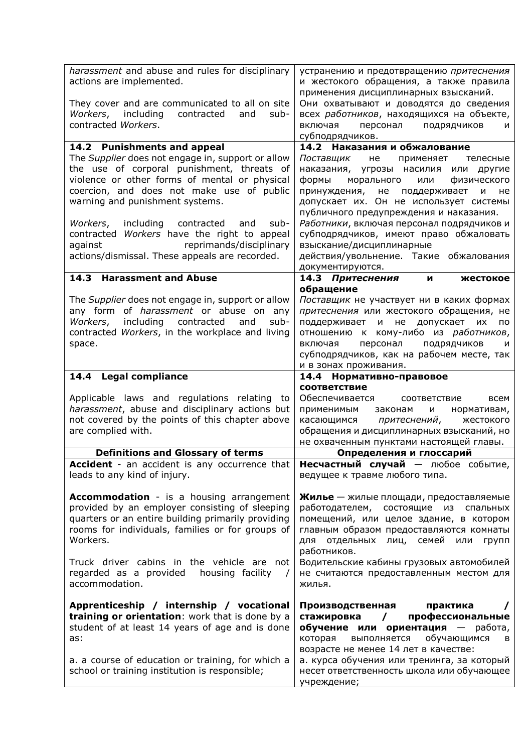| harassment and abuse and rules for disciplinary<br>actions are implemented.                                                                                                                                                                                                                                                  | устранению и предотвращению притеснения<br>и жестокого обращения, а также правила<br>применения дисциплинарных взысканий.                                                                                                                                                                                                |
|------------------------------------------------------------------------------------------------------------------------------------------------------------------------------------------------------------------------------------------------------------------------------------------------------------------------------|--------------------------------------------------------------------------------------------------------------------------------------------------------------------------------------------------------------------------------------------------------------------------------------------------------------------------|
| They cover and are communicated to all on site<br>Workers, including<br>contracted<br>and<br>sub-<br>contracted Workers.                                                                                                                                                                                                     | Они охватывают и доводятся до сведения<br>всех работников, находящихся на объекте,<br>включая<br>персонал подрядчиков<br>и                                                                                                                                                                                               |
|                                                                                                                                                                                                                                                                                                                              | субподрядчиков.                                                                                                                                                                                                                                                                                                          |
| 14.2 Punishments and appeal                                                                                                                                                                                                                                                                                                  | 14.2 Наказания и обжалование                                                                                                                                                                                                                                                                                             |
| The Supplier does not engage in, support or allow<br>the use of corporal punishment, threats of<br>violence or other forms of mental or physical<br>coercion, and does not make use of public<br>warning and punishment systems.                                                                                             | Поставщик не применяет<br>телесные<br>наказания, угрозы насилия или другие<br>формы<br>морального<br>или<br>физического<br>принуждения, не поддерживает<br>не<br>и<br>допускает их. Он не использует системы<br>публичного предупреждения и наказания.                                                                   |
| Workers, including<br>contracted<br>sub-<br>and<br>contracted Workers have the right to appeal<br>reprimands/disciplinary<br>against<br>actions/dismissal. These appeals are recorded.                                                                                                                                       | Работники, включая персонал подрядчиков и<br>субподрядчиков, имеют право обжаловать<br>взыскание/дисциплинарные<br>действия/увольнение. Такие обжалования<br>документируются.                                                                                                                                            |
| 14.3 Harassment and Abuse                                                                                                                                                                                                                                                                                                    | 14.3 Притеснения<br>жестокое<br>N                                                                                                                                                                                                                                                                                        |
| The Supplier does not engage in, support or allow<br>any form of <i>harassment</i> or abuse on any<br>including<br>contracted<br>Workers,<br>and<br>sub-<br>contracted Workers, in the workplace and living<br>space.                                                                                                        | обращение<br>Поставщик не участвует ни в каких формах<br>притеснения или жестокого обращения, не<br>не допускает их<br>поддерживает и<br>по<br>отношению к кому-либо из работников,<br>персонал<br>включая<br>подрядчиков<br>и<br>субподрядчиков, как на рабочем месте, так<br>и в зонах проживания.                     |
| 14.4 Legal compliance                                                                                                                                                                                                                                                                                                        | 14.4 Нормативно-правовое                                                                                                                                                                                                                                                                                                 |
| Applicable laws and regulations relating to                                                                                                                                                                                                                                                                                  | соответствие<br>Обеспечивается<br>соответствие<br>всем                                                                                                                                                                                                                                                                   |
| harassment, abuse and disciplinary actions but<br>not covered by the points of this chapter above<br>are complied with.                                                                                                                                                                                                      | применимым<br>M<br>нормативам,<br>законам<br>касающимся притеснений,<br>жестокого<br>обращения и дисциплинарных взысканий, но<br>не охваченным пунктами настоящей главы.                                                                                                                                                 |
| <b>Definitions and Glossary of terms</b>                                                                                                                                                                                                                                                                                     | Определения и глоссарий                                                                                                                                                                                                                                                                                                  |
| Accident - an accident is any occurrence that<br>leads to any kind of injury.                                                                                                                                                                                                                                                | Несчастный случай - любое событие,<br>ведущее к травме любого типа.                                                                                                                                                                                                                                                      |
| <b>Accommodation</b> - is a housing arrangement<br>provided by an employer consisting of sleeping<br>quarters or an entire building primarily providing<br>rooms for individuals, families or for groups of<br>Workers.<br>Truck driver cabins in the vehicle are not<br>regarded as a provided housing facility<br>$\prime$ | Жилье - жилые площади, предоставляемые<br>работодателем, состоящие из спальных<br>помещений, или целое здание, в котором<br>главным образом предоставляются комнаты<br>отдельных лиц, семей<br>для<br>или<br>групп<br>работников.<br>Водительские кабины грузовых автомобилей<br>не считаются предоставленным местом для |
| accommodation.<br>Apprenticeship / internship / vocational                                                                                                                                                                                                                                                                   | жилья.<br>Производственная<br>практика                                                                                                                                                                                                                                                                                   |
| training or orientation: work that is done by a<br>student of at least 14 years of age and is done<br>as:                                                                                                                                                                                                                    | профессиональные<br>стажировка<br>$\prime$<br>обучение или ориентация - работа,<br>которая<br>выполняется<br>обучающимся<br>в<br>возрасте не менее 14 лет в качестве:                                                                                                                                                    |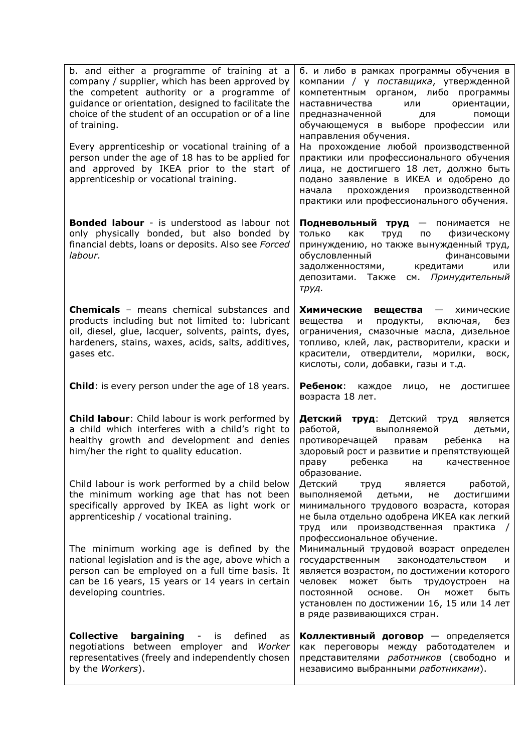| b. and either a programme of training at a<br>company / supplier, which has been approved by<br>the competent authority or a programme of<br>guidance or orientation, designed to facilitate the<br>choice of the student of an occupation or of a line<br>of training.<br>Every apprenticeship or vocational training of a | б. и либо в рамках программы обучения в<br>компании / у поставщика, утвержденной<br>компетентным органом, либо программы<br>наставничества<br>ориентации,<br>или<br>предназначенной<br>помощи<br>для<br>обучающемуся в выборе профессии или<br>направления обучения.<br>На прохождение любой производственной |
|-----------------------------------------------------------------------------------------------------------------------------------------------------------------------------------------------------------------------------------------------------------------------------------------------------------------------------|---------------------------------------------------------------------------------------------------------------------------------------------------------------------------------------------------------------------------------------------------------------------------------------------------------------|
| person under the age of 18 has to be applied for<br>and approved by IKEA prior to the start of<br>apprenticeship or vocational training.                                                                                                                                                                                    | практики или профессионального обучения<br>лица, не достигшего 18 лет, должно быть<br>подано заявление в ИКЕА и одобрено до<br>прохождения<br>производственной<br>начала<br>практики или профессионального обучения.                                                                                          |
| <b>Bonded labour</b> - is understood as labour not<br>only physically bonded, but also bonded by<br>financial debts, loans or deposits. Also see Forced<br>labour.                                                                                                                                                          | Подневольный труд — понимается не<br>физическому<br>только<br>как<br>труд<br>по<br>принуждению, но также вынужденный труд,<br>обусловленный<br>финансовыми<br>задолженностями, кредитами<br>или<br>депозитами. Также см. Принудительный<br>труд.                                                              |
| Chemicals - means chemical substances and<br>products including but not limited to: lubricant<br>oil, diesel, glue, lacquer, solvents, paints, dyes,<br>hardeners, stains, waxes, acids, salts, additives,<br>gases etc.                                                                                                    | Химические<br>вещества<br>- химические<br>вещества<br>продукты,<br>включая,<br>без<br>и<br>ограничения, смазочные масла, дизельное<br>топливо, клей, лак, растворители, краски и<br>красители, отвердители, морилки, воск,<br>кислоты, соли, добавки, газы и т.д.                                             |
| <b>Child:</b> is every person under the age of 18 years.                                                                                                                                                                                                                                                                    | Ребенок: каждое<br>лицо,<br>достигшее<br>не<br>возраста 18 лет.                                                                                                                                                                                                                                               |
| <b>Child labour:</b> Child labour is work performed by<br>a child which interferes with a child's right to<br>healthy growth and development and denies<br>him/her the right to quality education.                                                                                                                          | Детский труд: Детский труд<br>является<br>работой,<br>выполняемой<br>детьми,<br>противоречащей<br>правам<br>ребенка<br>на<br>здоровый рост и развитие и препятствующей<br>праву ребенка на качественное<br>образование.                                                                                       |
| Child labour is work performed by a child below<br>the minimum working age that has not been<br>specifically approved by IKEA as light work or<br>apprenticeship / vocational training.                                                                                                                                     | Детский<br>является<br>работой,<br>труд<br>выполняемой<br>детьми,<br>достигшими<br>не<br>минимального трудового возраста, которая<br>не была отдельно одобрена ИКЕА как легкий<br>труд или производственная практика /<br>профессиональное обучение.                                                          |
| The minimum working age is defined by the<br>national legislation and is the age, above which a<br>person can be employed on a full time basis. It<br>can be 16 years, 15 years or 14 years in certain<br>developing countries.                                                                                             | Минимальный трудовой возраст определен<br>государственным законодательством<br>и<br>является возрастом, по достижении которого<br>человек может быть трудоустроен<br>на<br>Он<br>постоянной<br>основе.<br>может<br>быть<br>установлен по достижении 16, 15 или 14 лет<br>в ряде развивающихся стран.          |
| <b>Collective</b><br>bargaining<br>defined<br>is<br>$\overline{\phantom{a}}$<br>as<br>negotiations between employer and<br>Worker<br>representatives (freely and independently chosen<br>by the Workers).                                                                                                                   | Коллективный договор - определяется<br>как переговоры между работодателем<br>— и<br>представителями работников (свободно и<br>независимо выбранными работниками).                                                                                                                                             |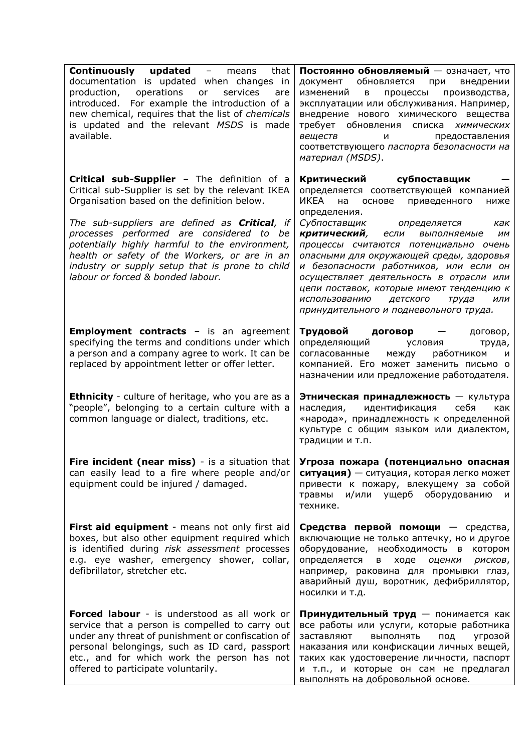| <b>Continuously updated</b> - means<br>that<br>documentation is updated when changes in                                                                                                                                                                                                      | Постоянно обновляемый - означает, что<br>документ обновляется при<br>внедрении                                                                                                                                                                                                                                                                                                            |
|----------------------------------------------------------------------------------------------------------------------------------------------------------------------------------------------------------------------------------------------------------------------------------------------|-------------------------------------------------------------------------------------------------------------------------------------------------------------------------------------------------------------------------------------------------------------------------------------------------------------------------------------------------------------------------------------------|
| production, operations or<br>services<br>are<br>introduced. For example the introduction of a<br>new chemical, requires that the list of chemicals<br>is updated and the relevant MSDS is made<br>available.                                                                                 | изменений в процессы производства,<br>эксплуатации или обслуживания. Например,<br>внедрение нового химического вещества<br>требует обновления списка химических<br>веществ<br>предоставления<br>и<br>соответствующего паспорта безопасности на<br>материал (MSDS).                                                                                                                        |
| Critical sub-Supplier - The definition of a<br>Critical sub-Supplier is set by the relevant IKEA<br>Organisation based on the definition below.                                                                                                                                              | Критический субпоставщик<br>определяется соответствующей компанией<br>ИКЕА на<br>основе<br>приведенного<br>ниже<br>определения.                                                                                                                                                                                                                                                           |
| The sub-suppliers are defined as <b>Critical</b> , if<br>processes performed are considered to be<br>potentially highly harmful to the environment,<br>health or safety of the Workers, or are in an<br>industry or supply setup that is prone to child<br>labour or forced & bonded labour. | Субпоставщик определяется<br>как<br>критический,<br>если<br>выполняемые<br>ИМ<br>процессы считаются потенциально очень<br>опасными для окружающей среды, здоровья<br>и безопасности работников, или если он<br>осуществляет деятельность в отрасли или<br>цепи поставок, которые имеют тенденцию к<br>детского<br>использованию<br>труда<br>ИЛИ<br>принудительного и подневольного труда. |
| <b>Employment contracts</b> - is an agreement<br>specifying the terms and conditions under which<br>a person and a company agree to work. It can be<br>replaced by appointment letter or offer letter.                                                                                       | Трудовой договор —<br>договор,<br>определяющий<br>условия<br>труда,<br>согласованные<br>между<br>работником<br>и<br>компанией. Его может заменить письмо о<br>назначении или предложение работодателя.                                                                                                                                                                                    |
| <b>Ethnicity</b> - culture of heritage, who you are as a<br>"people", belonging to a certain culture with a<br>common language or dialect, traditions, etc.                                                                                                                                  | Этническая принадлежность - культура<br>наследия,<br>идентификация<br>себя<br>как<br>«народа», принадлежность к определенной<br>культуре с общим языком или диалектом,<br>традиции и т.п.                                                                                                                                                                                                 |
| Fire incident (near miss) - is a situation that $\sqrt{r}$ Угроза пожара (потенциально опасная<br>can easily lead to a fire where people and/or<br>equipment could be injured / damaged.                                                                                                     | ситуация) - ситуация, которая легко может<br>привести к пожару, влекущему за собой<br>травмы и/или ущерб оборудованию<br>$\mathsf{M}$<br>технике.                                                                                                                                                                                                                                         |
| First aid equipment - means not only first aid<br>boxes, but also other equipment required which<br>is identified during risk assessment processes<br>e.g. eye washer, emergency shower, collar,<br>defibrillator, stretcher etc.                                                            | Средства первой помощи - средства,<br>включающие не только аптечку, но и другое<br>оборудование, необходимость в котором<br>определяется<br>ходе<br>оценки<br>рисков,<br>B <sub>1</sub><br>например, раковина для промывки глаз,<br>аварийный душ, воротник, дефибриллятор,<br>носилки и т.д.                                                                                             |
| Forced labour - is understood as all work or<br>service that a person is compelled to carry out<br>under any threat of punishment or confiscation of<br>personal belongings, such as ID card, passport<br>etc., and for which work the person has not<br>offered to participate voluntarily. | Принудительный труд - понимается как<br>все работы или услуги, которые работника<br>выполнять<br>заставляют<br>под<br>угрозой<br>наказания или конфискации личных вещей,<br>таких как удостоверение личности, паспорт<br>и т.п., и которые он сам не предлагал<br>выполнять на добровольной основе.                                                                                       |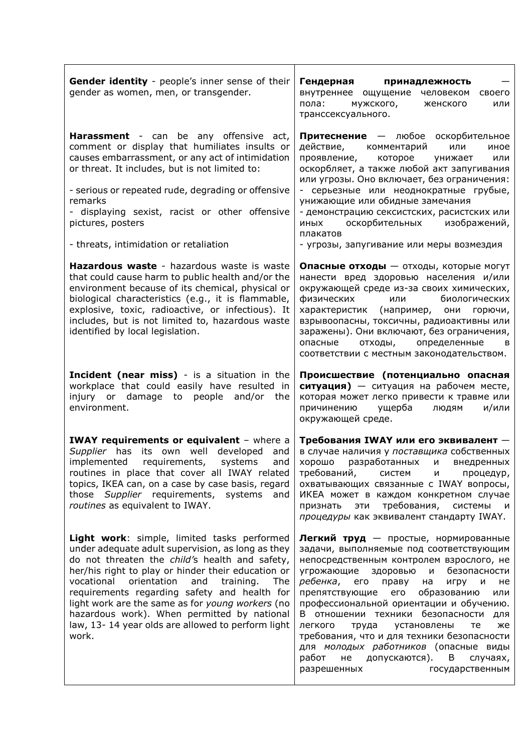| Gender identity - people's inner sense of their<br>gender as women, men, or transgender.                                                                                                                                                                                                                                                                                                                                                                                       | Гендерная<br>принадлежность<br>внутреннее ощущение человеком<br>своего<br>пола:<br>мужского,<br>или<br>женского<br>транссексуального.                                                                                                                                                                                                                                                                                                                                                                                                                                  |
|--------------------------------------------------------------------------------------------------------------------------------------------------------------------------------------------------------------------------------------------------------------------------------------------------------------------------------------------------------------------------------------------------------------------------------------------------------------------------------|------------------------------------------------------------------------------------------------------------------------------------------------------------------------------------------------------------------------------------------------------------------------------------------------------------------------------------------------------------------------------------------------------------------------------------------------------------------------------------------------------------------------------------------------------------------------|
| Harassment - can be any offensive act,<br>comment or display that humiliates insults or<br>causes embarrassment, or any act of intimidation<br>or threat. It includes, but is not limited to:<br>- serious or repeated rude, degrading or offensive<br>remarks<br>- displaying sexist, racist or other offensive<br>pictures, posters<br>- threats, intimidation or retaliation                                                                                                | Притеснение - любое оскорбительное<br>действие, комментарий<br>или<br>иное<br>проявление,<br>которое<br>унижает<br>или<br>оскорбляет, а также любой акт запугивания<br>или угрозы. Оно включает, без ограничения:<br>- серьезные или неоднократные грубые,<br>унижающие или обидные замечания<br>- демонстрацию сексистских, расистских или<br>иных оскорбительных изображений,<br>плакатов<br>- угрозы, запугивание или меры возмездия                                                                                                                                |
| Hazardous waste - hazardous waste is waste<br>that could cause harm to public health and/or the<br>environment because of its chemical, physical or<br>biological characteristics (e.g., it is flammable,<br>explosive, toxic, radioactive, or infectious). It<br>includes, but is not limited to, hazardous waste<br>identified by local legislation.                                                                                                                         | Опасные отходы - отходы, которые могут<br>нанести вред здоровью населения и/или<br>окружающей среде из-за своих химических,<br>биологических<br>физических<br>или<br>характеристик (например, они горючи,<br>взрывоопасны, токсичны, радиоактивны или<br>заражены). Они включают, без ограничения,<br>опасные<br>определенные<br>отходы,<br>в<br>соответствии с местным законодательством.                                                                                                                                                                             |
| Incident (near miss) - is a situation in the<br>workplace that could easily have resulted in<br>injury or damage to people and/or the<br>environment.                                                                                                                                                                                                                                                                                                                          | Происшествие (потенциально опасная<br>ситуация) - ситуация на рабочем месте,<br>которая может легко привести к травме или<br>причинению<br>ущерба<br>и/или<br>людям<br>окружающей среде.                                                                                                                                                                                                                                                                                                                                                                               |
| <b>IWAY requirements or equivalent</b> - where a<br>Supplier has its own well developed<br>and<br>implemented requirements, systems<br>and<br>routines in place that cover all IWAY related<br>topics, IKEA can, on a case by case basis, regard<br>those Supplier requirements, systems and<br>routines as equivalent to IWAY.                                                                                                                                                | Требования IWAY или его эквивалент -<br>в случае наличия у поставщика собственных<br>хорошо разработанных и внедренных<br>требований, систем<br>M<br>процедур,<br>охватывающих связанные с IWAY вопросы,<br>ИКЕА может в каждом конкретном случае<br>эти требования, системы<br>признать<br>M<br>процедуры как эквивалент стандарту IWAY.                                                                                                                                                                                                                              |
| Light work: simple, limited tasks performed<br>under adequate adult supervision, as long as they<br>do not threaten the child's health and safety,<br>her/his right to play or hinder their education or<br>orientation<br>and training.<br>vocational<br>The<br>requirements regarding safety and health for<br>light work are the same as for young workers (no<br>hazardous work). When permitted by national<br>law, 13-14 year olds are allowed to perform light<br>work. | Легкий труд — простые, нормированные<br>задачи, выполняемые под соответствующим<br>непосредственным контролем взрослого, не<br>угрожающие здоровью и<br>безопасности<br><i>ребенка</i> , его праву<br>на<br>игру и<br>не<br>препятствующие его<br>образованию<br>или<br>профессиональной ориентации и обучению.<br>В отношении техники безопасности для<br>легкого<br>труда установлены<br>те<br>же<br>требования, что и для техники безопасности<br>для молодых работников (опасные виды<br>работ не допускаются).<br>B<br>случаях,<br>разрешенных<br>государственным |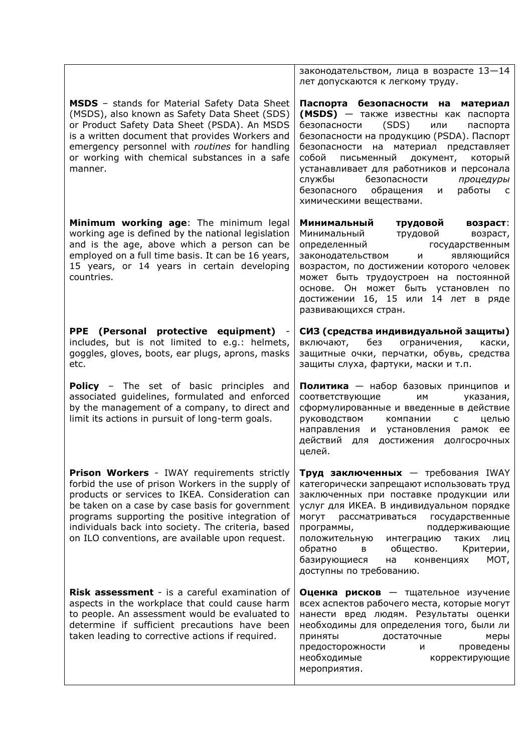|                                                                                                                                                                                                                                                                                                                                                                           | законодательством, лица в возрасте 13-14<br>лет допускаются к легкому труду.                                                                                                                                                                                                                                                                                                                                                       |
|---------------------------------------------------------------------------------------------------------------------------------------------------------------------------------------------------------------------------------------------------------------------------------------------------------------------------------------------------------------------------|------------------------------------------------------------------------------------------------------------------------------------------------------------------------------------------------------------------------------------------------------------------------------------------------------------------------------------------------------------------------------------------------------------------------------------|
| <b>MSDS</b> - stands for Material Safety Data Sheet<br>(MSDS), also known as Safety Data Sheet (SDS)<br>or Product Safety Data Sheet (PSDA). An MSDS<br>is a written document that provides Workers and<br>emergency personnel with routines for handling<br>or working with chemical substances in a safe<br>manner.                                                     | Паспорта безопасности на материал<br>(MSDS) - также известны как паспорта<br>(SDS)<br>безопасности<br>или<br>паспорта<br>безопасности на продукцию (PSDA). Паспорт<br>безопасности на материал представляет<br>собой<br>письменный документ,<br>который<br>устанавливает для работников и персонала<br>службы<br>безопасности<br>процедуры<br>безопасного<br>обращения<br>работы<br>и<br>$\overline{c}$<br>химическими веществами. |
| Minimum working age: The minimum legal<br>working age is defined by the national legislation<br>and is the age, above which a person can be<br>employed on a full time basis. It can be 16 years,<br>15 years, or 14 years in certain developing<br>countries.                                                                                                            | Минимальный<br>трудовой<br>возраст:<br>Минимальный<br>трудовой<br>возраст,<br>определенный<br>государственным<br>являющийся<br>законодательством<br>M<br>возрастом, по достижении которого человек<br>может быть трудоустроен на постоянной<br>основе. Он может быть установлен<br>ПO<br>достижении 16, 15 или 14 лет в ряде<br>развивающихся стран.                                                                               |
| PPE (Personal protective equipment)<br>includes, but is not limited to e.g.: helmets,<br>goggles, gloves, boots, ear plugs, aprons, masks<br>etc.                                                                                                                                                                                                                         | СИЗ (средства индивидуальной защиты)<br>без<br>ограничения,<br>включают,<br>каски,<br>защитные очки, перчатки, обувь, средства<br>защиты слуха, фартуки, маски и т.п.                                                                                                                                                                                                                                                              |
| <b>Policy</b> - The set of basic principles and<br>associated guidelines, formulated and enforced<br>by the management of a company, to direct and<br>limit its actions in pursuit of long-term goals.                                                                                                                                                                    | Политика - набор базовых принципов и<br>соответствующие<br>им<br>указания,<br>сформулированные и введенные в действие<br>руководством<br>компании<br>$\mathsf{C}$<br>целью<br>направления и установления рамок ее<br>действий для достижения долгосрочных<br>целей.                                                                                                                                                                |
| <b>Prison Workers</b> - IWAY requirements strictly<br>forbid the use of prison Workers in the supply of<br>products or services to IKEA. Consideration can<br>be taken on a case by case basis for government<br>programs supporting the positive integration of<br>individuals back into society. The criteria, based<br>on ILO conventions, are available upon request. | Труд заключенных - требования IWAY<br>категорически запрещают использовать труд<br>заключенных при поставке продукции или<br>услуг для ИКЕА. В индивидуальном порядке<br>МОГУТ<br>рассматриваться<br>государственные<br>программы,<br>поддерживающие<br>положительную<br>интеграцию<br>таких<br>лиц<br>обратно<br>общество.<br>Критерии,<br>в<br>базирующиеся<br>MOT,<br>на<br>конвенциях<br>доступны по требованию.               |
| Risk assessment - is a careful examination of<br>aspects in the workplace that could cause harm<br>to people. An assessment would be evaluated to<br>determine if sufficient precautions have been<br>taken leading to corrective actions if required.                                                                                                                    | Оценка рисков - тщательное изучение<br>всех аспектов рабочего места, которые могут<br>нанести вред людям. Результаты оценки<br>необходимы для определения того, были ли<br>приняты<br>достаточные<br>меры<br>предосторожности<br>проведены<br>и<br>необходимые<br>корректирующие<br>мероприятия.                                                                                                                                   |